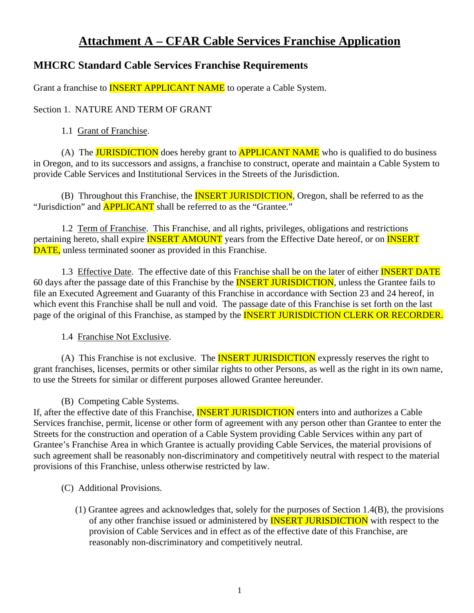# **Attachment A – CFAR Cable Services Franchise Application**

# **MHCRC Standard Cable Services Franchise Requirements**

Grant a franchise to **INSERT APPLICANT NAME** to operate a Cable System.

### Section 1. NATURE AND TERM OF GRANT

#### 1.1 Grant of Franchise.

(A) The **JURISDICTION** does hereby grant to **APPLICANT NAME** who is qualified to do business in Oregon, and to its successors and assigns, a franchise to construct, operate and maintain a Cable System to provide Cable Services and Institutional Services in the Streets of the Jurisdiction.

(B) Throughout this Franchise, the **INSERT JURISDICTION**, Oregon, shall be referred to as the "Jurisdiction" and **APPLICANT** shall be referred to as the "Grantee."

1.2 Term of Franchise. This Franchise, and all rights, privileges, obligations and restrictions pertaining hereto, shall expire **INSERT AMOUNT** years from the Effective Date hereof, or on **INSERT** DATE, unless terminated sooner as provided in this Franchise.

1.3 Effective Date. The effective date of this Franchise shall be on the later of either **INSERT DATE** 60 days after the passage date of this Franchise by the **INSERT JURISDICTION**, unless the Grantee fails to file an Executed Agreement and Guaranty of this Franchise in accordance with Section 23 and 24 hereof, in which event this Franchise shall be null and void. The passage date of this Franchise is set forth on the last page of the original of this Franchise, as stamped by the **INSERT JURISDICTION CLERK OR RECORDER**.

1.4 Franchise Not Exclusive.

(A) This Franchise is not exclusive. The **INSERT JURISDICTION** expressly reserves the right to grant franchises, licenses, permits or other similar rights to other Persons, as well as the right in its own name, to use the Streets for similar or different purposes allowed Grantee hereunder.

(B) Competing Cable Systems.

If, after the effective date of this Franchise, **INSERT JURISDICTION** enters into and authorizes a Cable Services franchise, permit, license or other form of agreement with any person other than Grantee to enter the Streets for the construction and operation of a Cable System providing Cable Services within any part of Grantee's Franchise Area in which Grantee is actually providing Cable Services, the material provisions of such agreement shall be reasonably non-discriminatory and competitively neutral with respect to the material provisions of this Franchise, unless otherwise restricted by law.

- (C) Additional Provisions.
	- (1) Grantee agrees and acknowledges that, solely for the purposes of Section 1.4(B), the provisions of any other franchise issued or administered by **INSERT JURISDICTION** with respect to the provision of Cable Services and in effect as of the effective date of this Franchise, are reasonably non-discriminatory and competitively neutral.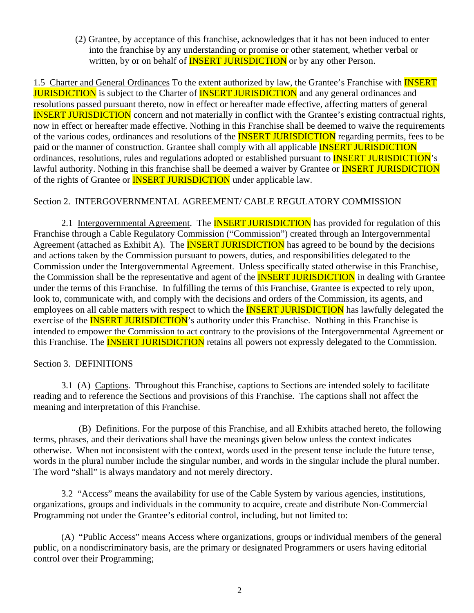(2) Grantee, by acceptance of this franchise, acknowledges that it has not been induced to enter into the franchise by any understanding or promise or other statement, whether verbal or written, by or on behalf of **INSERT JURISDICTION** or by any other Person.

1.5 Charter and General Ordinances To the extent authorized by law, the Grantee's Franchise with **INSERT JURISDICTION** is subject to the Charter of **INSERT JURISDICTION** and any general ordinances and resolutions passed pursuant thereto, now in effect or hereafter made effective, affecting matters of general INSERT JURISDICTION concern and not materially in conflict with the Grantee's existing contractual rights, now in effect or hereafter made effective. Nothing in this Franchise shall be deemed to waive the requirements of the various codes, ordinances and resolutions of the **INSERT JURISDICTION** regarding permits, fees to be paid or the manner of construction. Grantee shall comply with all applicable **INSERT JURISDICTION** ordinances, resolutions, rules and regulations adopted or established pursuant to **INSERT JURISDICTION**'s lawful authority. Nothing in this franchise shall be deemed a waiver by Grantee or **INSERT JURISDICTION** of the rights of Grantee or **INSERT JURISDICTION** under applicable law.

### Section 2. INTERGOVERNMENTAL AGREEMENT/ CABLE REGULATORY COMMISSION

2.1 Intergovernmental Agreement. The **INSERT JURISDICTION** has provided for regulation of this Franchise through a Cable Regulatory Commission ("Commission") created through an Intergovernmental Agreement (attached as Exhibit A). The **INSERT JURISDICTION** has agreed to be bound by the decisions and actions taken by the Commission pursuant to powers, duties, and responsibilities delegated to the Commission under the Intergovernmental Agreement. Unless specifically stated otherwise in this Franchise, the Commission shall be the representative and agent of the **INSERT JURISDICTION** in dealing with Grantee under the terms of this Franchise. In fulfilling the terms of this Franchise, Grantee is expected to rely upon, look to, communicate with, and comply with the decisions and orders of the Commission, its agents, and employees on all cable matters with respect to which the **INSERT JURISDICTION** has lawfully delegated the exercise of the **INSERT JURISDICTION**'s authority under this Franchise. Nothing in this Franchise is intended to empower the Commission to act contrary to the provisions of the Intergovernmental Agreement or this Franchise. The **INSERT JURISDICTION** retains all powers not expressly delegated to the Commission.

### Section 3. DEFINITIONS

3.1 (A) Captions. Throughout this Franchise, captions to Sections are intended solely to facilitate reading and to reference the Sections and provisions of this Franchise. The captions shall not affect the meaning and interpretation of this Franchise.

(B) Definitions. For the purpose of this Franchise, and all Exhibits attached hereto, the following terms, phrases, and their derivations shall have the meanings given below unless the context indicates otherwise. When not inconsistent with the context, words used in the present tense include the future tense, words in the plural number include the singular number, and words in the singular include the plural number. The word "shall" is always mandatory and not merely directory.

3.2 "Access" means the availability for use of the Cable System by various agencies, institutions, organizations, groups and individuals in the community to acquire, create and distribute Non-Commercial Programming not under the Grantee's editorial control, including, but not limited to:

(A) "Public Access" means Access where organizations, groups or individual members of the general public, on a nondiscriminatory basis, are the primary or designated Programmers or users having editorial control over their Programming;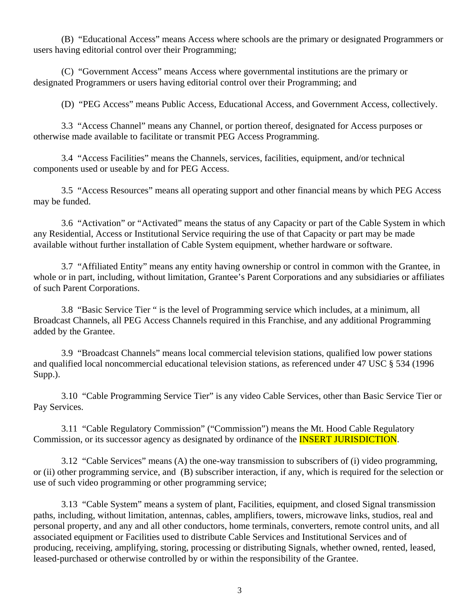(B) "Educational Access" means Access where schools are the primary or designated Programmers or users having editorial control over their Programming;

(C) "Government Access" means Access where governmental institutions are the primary or designated Programmers or users having editorial control over their Programming; and

(D) "PEG Access" means Public Access, Educational Access, and Government Access, collectively.

3.3 "Access Channel" means any Channel, or portion thereof, designated for Access purposes or otherwise made available to facilitate or transmit PEG Access Programming.

3.4 "Access Facilities" means the Channels, services, facilities, equipment, and/or technical components used or useable by and for PEG Access.

3.5 "Access Resources" means all operating support and other financial means by which PEG Access may be funded.

3.6 "Activation" or "Activated" means the status of any Capacity or part of the Cable System in which any Residential, Access or Institutional Service requiring the use of that Capacity or part may be made available without further installation of Cable System equipment, whether hardware or software.

3.7 "Affiliated Entity" means any entity having ownership or control in common with the Grantee, in whole or in part, including, without limitation, Grantee's Parent Corporations and any subsidiaries or affiliates of such Parent Corporations.

3.8 "Basic Service Tier " is the level of Programming service which includes, at a minimum, all Broadcast Channels, all PEG Access Channels required in this Franchise, and any additional Programming added by the Grantee.

3.9 "Broadcast Channels" means local commercial television stations, qualified low power stations and qualified local noncommercial educational television stations, as referenced under 47 USC § 534 (1996 Supp.).

3.10 "Cable Programming Service Tier" is any video Cable Services, other than Basic Service Tier or Pay Services.

3.11 "Cable Regulatory Commission" ("Commission") means the Mt. Hood Cable Regulatory Commission, or its successor agency as designated by ordinance of the **INSERT JURISDICTION**.

3.12 "Cable Services" means (A) the one-way transmission to subscribers of (i) video programming, or (ii) other programming service, and (B) subscriber interaction, if any, which is required for the selection or use of such video programming or other programming service;

3.13 "Cable System" means a system of plant, Facilities, equipment, and closed Signal transmission paths, including, without limitation, antennas, cables, amplifiers, towers, microwave links, studios, real and personal property, and any and all other conductors, home terminals, converters, remote control units, and all associated equipment or Facilities used to distribute Cable Services and Institutional Services and of producing, receiving, amplifying, storing, processing or distributing Signals, whether owned, rented, leased, leased-purchased or otherwise controlled by or within the responsibility of the Grantee.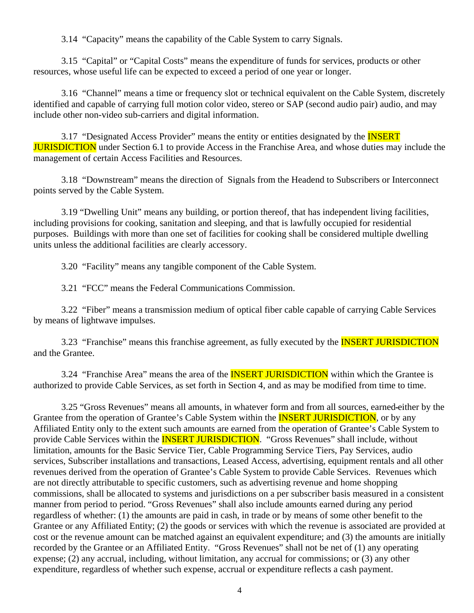3.14 "Capacity" means the capability of the Cable System to carry Signals.

3.15 "Capital" or "Capital Costs" means the expenditure of funds for services, products or other resources, whose useful life can be expected to exceed a period of one year or longer.

3.16 "Channel" means a time or frequency slot or technical equivalent on the Cable System, discretely identified and capable of carrying full motion color video, stereo or SAP (second audio pair) audio, and may include other non-video sub-carriers and digital information.

3.17 "Designated Access Provider" means the entity or entities designated by the **INSERT JURISDICTION** under Section 6.1 to provide Access in the Franchise Area, and whose duties may include the management of certain Access Facilities and Resources.

3.18 "Downstream" means the direction of Signals from the Headend to Subscribers or Interconnect points served by the Cable System.

3.19 "Dwelling Unit" means any building, or portion thereof, that has independent living facilities, including provisions for cooking, sanitation and sleeping, and that is lawfully occupied for residential purposes. Buildings with more than one set of facilities for cooking shall be considered multiple dwelling units unless the additional facilities are clearly accessory.

3.20 "Facility" means any tangible component of the Cable System.

3.21 "FCC" means the Federal Communications Commission.

3.22 "Fiber" means a transmission medium of optical fiber cable capable of carrying Cable Services by means of lightwave impulses.

3.23 "Franchise" means this franchise agreement, as fully executed by the **INSERT JURISDICTION** and the Grantee.

3.24 "Franchise Area" means the area of the **INSERT JURISDICTION** within which the Grantee is authorized to provide Cable Services, as set forth in Section 4, and as may be modified from time to time.

3.25 "Gross Revenues" means all amounts, in whatever form and from all sources, earned either by the Grantee from the operation of Grantee's Cable System within the **INSERT JURISDICTION**, or by any Affiliated Entity only to the extent such amounts are earned from the operation of Grantee's Cable System to provide Cable Services within the **INSERT JURISDICTION**. "Gross Revenues" shall include, without limitation, amounts for the Basic Service Tier, Cable Programming Service Tiers, Pay Services, audio services, Subscriber installations and transactions, Leased Access, advertising, equipment rentals and all other revenues derived from the operation of Grantee's Cable System to provide Cable Services. Revenues which are not directly attributable to specific customers, such as advertising revenue and home shopping commissions, shall be allocated to systems and jurisdictions on a per subscriber basis measured in a consistent manner from period to period. "Gross Revenues" shall also include amounts earned during any period regardless of whether: (1) the amounts are paid in cash, in trade or by means of some other benefit to the Grantee or any Affiliated Entity; (2) the goods or services with which the revenue is associated are provided at cost or the revenue amount can be matched against an equivalent expenditure; and (3) the amounts are initially recorded by the Grantee or an Affiliated Entity. "Gross Revenues" shall not be net of (1) any operating expense; (2) any accrual, including, without limitation, any accrual for commissions; or (3) any other expenditure, regardless of whether such expense, accrual or expenditure reflects a cash payment.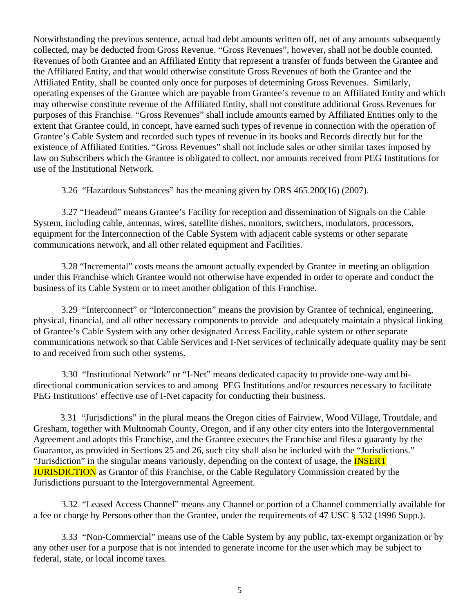Notwithstanding the previous sentence, actual bad debt amounts written off, net of any amounts subsequently collected, may be deducted from Gross Revenue. "Gross Revenues", however, shall not be double counted. Revenues of both Grantee and an Affiliated Entity that represent a transfer of funds between the Grantee and the Affiliated Entity, and that would otherwise constitute Gross Revenues of both the Grantee and the Affiliated Entity, shall be counted only once for purposes of determining Gross Revenues. Similarly, operating expenses of the Grantee which are payable from Grantee's revenue to an Affiliated Entity and which may otherwise constitute revenue of the Affiliated Entity, shall not constitute additional Gross Revenues for purposes of this Franchise. "Gross Revenues" shall include amounts earned by Affiliated Entities only to the extent that Grantee could, in concept, have earned such types of revenue in connection with the operation of Grantee's Cable System and recorded such types of revenue in its books and Records directly but for the existence of Affiliated Entities. "Gross Revenues" shall not include sales or other similar taxes imposed by law on Subscribers which the Grantee is obligated to collect, nor amounts received from PEG Institutions for use of the Institutional Network.

3.26 "Hazardous Substances" has the meaning given by ORS 465.200(16) (2007).

3.27 "Headend" means Grantee's Facility for reception and dissemination of Signals on the Cable System, including cable, antennas, wires, satellite dishes, monitors, switchers, modulators, processors, equipment for the Interconnection of the Cable System with adjacent cable systems or other separate communications network, and all other related equipment and Facilities.

3.28 "Incremental" costs means the amount actually expended by Grantee in meeting an obligation under this Franchise which Grantee would not otherwise have expended in order to operate and conduct the business of its Cable System or to meet another obligation of this Franchise.

3.29 "Interconnect" or "Interconnection" means the provision by Grantee of technical, engineering, physical, financial, and all other necessary components to provide and adequately maintain a physical linking of Grantee's Cable System with any other designated Access Facility, cable system or other separate communications network so that Cable Services and I-Net services of technically adequate quality may be sent to and received from such other systems.

3.30 "Institutional Network" or "I-Net" means dedicated capacity to provide one-way and bidirectional communication services to and among PEG Institutions and/or resources necessary to facilitate PEG Institutions' effective use of I-Net capacity for conducting their business.

 3.31 "Jurisdictions" in the plural means the Oregon cities of Fairview, Wood Village, Troutdale, and Gresham, together with Multnomah County, Oregon, and if any other city enters into the Intergovernmental Agreement and adopts this Franchise, and the Grantee executes the Franchise and files a guaranty by the Guarantor, as provided in Sections 25 and 26, such city shall also be included with the "Jurisdictions." "Jurisdiction" in the singular means variously, depending on the context of usage, the **INSERT JURISDICTION** as Grantor of this Franchise, or the Cable Regulatory Commission created by the Jurisdictions pursuant to the Intergovernmental Agreement.

3.32 "Leased Access Channel" means any Channel or portion of a Channel commercially available for a fee or charge by Persons other than the Grantee, under the requirements of 47 USC § 532 (1996 Supp.).

3.33 "Non-Commercial" means use of the Cable System by any public, tax-exempt organization or by any other user for a purpose that is not intended to generate income for the user which may be subject to federal, state, or local income taxes.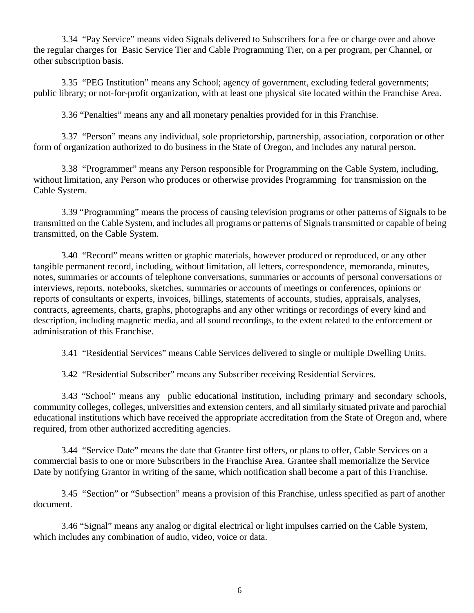3.34 "Pay Service" means video Signals delivered to Subscribers for a fee or charge over and above the regular charges for Basic Service Tier and Cable Programming Tier, on a per program, per Channel, or other subscription basis.

3.35 "PEG Institution" means any School; agency of government, excluding federal governments; public library; or not-for-profit organization, with at least one physical site located within the Franchise Area.

3.36 "Penalties" means any and all monetary penalties provided for in this Franchise.

3.37 "Person" means any individual, sole proprietorship, partnership, association, corporation or other form of organization authorized to do business in the State of Oregon, and includes any natural person.

3.38 "Programmer" means any Person responsible for Programming on the Cable System, including, without limitation, any Person who produces or otherwise provides Programming for transmission on the Cable System.

3.39 "Programming" means the process of causing television programs or other patterns of Signals to be transmitted on the Cable System, and includes all programs or patterns of Signals transmitted or capable of being transmitted, on the Cable System.

3.40 "Record" means written or graphic materials, however produced or reproduced, or any other tangible permanent record, including, without limitation, all letters, correspondence, memoranda, minutes, notes, summaries or accounts of telephone conversations, summaries or accounts of personal conversations or interviews, reports, notebooks, sketches, summaries or accounts of meetings or conferences, opinions or reports of consultants or experts, invoices, billings, statements of accounts, studies, appraisals, analyses, contracts, agreements, charts, graphs, photographs and any other writings or recordings of every kind and description, including magnetic media, and all sound recordings, to the extent related to the enforcement or administration of this Franchise.

3.41 "Residential Services" means Cable Services delivered to single or multiple Dwelling Units.

3.42 "Residential Subscriber" means any Subscriber receiving Residential Services.

3.43 "School" means any public educational institution, including primary and secondary schools, community colleges, colleges, universities and extension centers, and all similarly situated private and parochial educational institutions which have received the appropriate accreditation from the State of Oregon and, where required, from other authorized accrediting agencies.

3.44 "Service Date" means the date that Grantee first offers, or plans to offer, Cable Services on a commercial basis to one or more Subscribers in the Franchise Area. Grantee shall memorialize the Service Date by notifying Grantor in writing of the same, which notification shall become a part of this Franchise.

3.45 "Section" or "Subsection" means a provision of this Franchise, unless specified as part of another document.

3.46 "Signal" means any analog or digital electrical or light impulses carried on the Cable System, which includes any combination of audio, video, voice or data.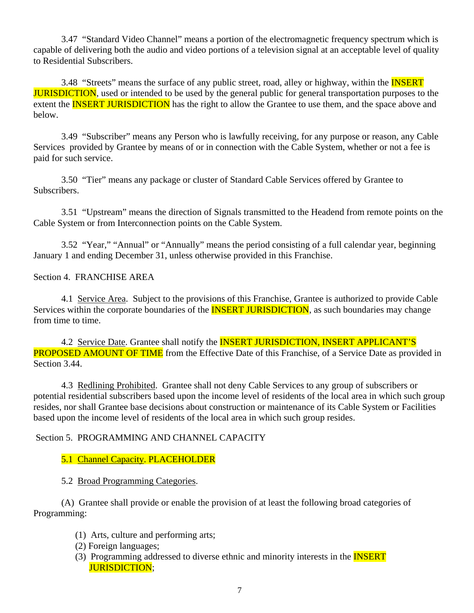3.47 "Standard Video Channel" means a portion of the electromagnetic frequency spectrum which is capable of delivering both the audio and video portions of a television signal at an acceptable level of quality to Residential Subscribers.

3.48 "Streets" means the surface of any public street, road, alley or highway, within the **INSERT JURISDICTION**, used or intended to be used by the general public for general transportation purposes to the extent the **INSERT JURISDICTION** has the right to allow the Grantee to use them, and the space above and below.

3.49 "Subscriber" means any Person who is lawfully receiving, for any purpose or reason, any Cable Services provided by Grantee by means of or in connection with the Cable System, whether or not a fee is paid for such service.

3.50 "Tier" means any package or cluster of Standard Cable Services offered by Grantee to Subscribers.

3.51 "Upstream" means the direction of Signals transmitted to the Headend from remote points on the Cable System or from Interconnection points on the Cable System.

3.52 "Year," "Annual" or "Annually" means the period consisting of a full calendar year, beginning January 1 and ending December 31, unless otherwise provided in this Franchise.

### Section 4. FRANCHISE AREA

4.1 Service Area. Subject to the provisions of this Franchise, Grantee is authorized to provide Cable Services within the corporate boundaries of the **INSERT JURISDICTION**, as such boundaries may change from time to time.

4.2 Service Date. Grantee shall notify the **INSERT JURISDICTION**, **INSERT APPLICANT'S PROPOSED AMOUNT OF TIME** from the Effective Date of this Franchise, of a Service Date as provided in Section 3.44.

4.3 Redlining Prohibited. Grantee shall not deny Cable Services to any group of subscribers or potential residential subscribers based upon the income level of residents of the local area in which such group resides, nor shall Grantee base decisions about construction or maintenance of its Cable System or Facilities based upon the income level of residents of the local area in which such group resides.

#### Section 5. PROGRAMMING AND CHANNEL CAPACITY

### 5.1 Channel Capacity. PLACEHOLDER

#### 5.2 Broad Programming Categories.

(A) Grantee shall provide or enable the provision of at least the following broad categories of Programming:

- (1) Arts, culture and performing arts;
- (2) Foreign languages;
- (3) Programming addressed to diverse ethnic and minority interests in the INSERT JURISDICTION;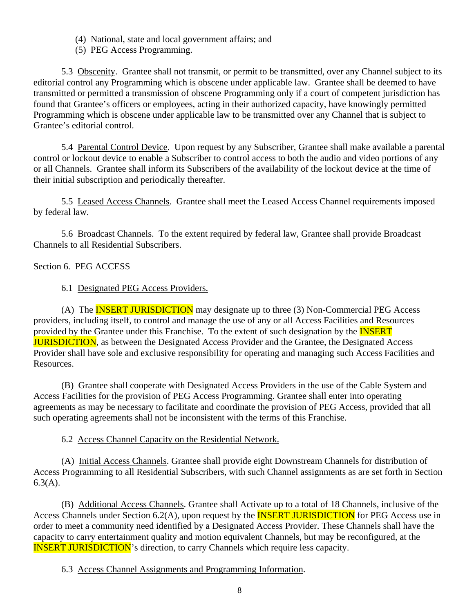- (4) National, state and local government affairs; and
- (5) PEG Access Programming.

5.3 Obscenity. Grantee shall not transmit, or permit to be transmitted, over any Channel subject to its editorial control any Programming which is obscene under applicable law. Grantee shall be deemed to have transmitted or permitted a transmission of obscene Programming only if a court of competent jurisdiction has found that Grantee's officers or employees, acting in their authorized capacity, have knowingly permitted Programming which is obscene under applicable law to be transmitted over any Channel that is subject to Grantee's editorial control.

5.4 Parental Control Device. Upon request by any Subscriber, Grantee shall make available a parental control or lockout device to enable a Subscriber to control access to both the audio and video portions of any or all Channels. Grantee shall inform its Subscribers of the availability of the lockout device at the time of their initial subscription and periodically thereafter.

5.5 Leased Access Channels. Grantee shall meet the Leased Access Channel requirements imposed by federal law.

5.6 Broadcast Channels. To the extent required by federal law, Grantee shall provide Broadcast Channels to all Residential Subscribers.

Section 6. PEG ACCESS

6.1 Designated PEG Access Providers.

(A) The **INSERT JURISDICTION** may designate up to three (3) Non-Commercial PEG Access providers, including itself, to control and manage the use of any or all Access Facilities and Resources provided by the Grantee under this Franchise. To the extent of such designation by the **INSERT JURISDICTION**, as between the Designated Access Provider and the Grantee, the Designated Access Provider shall have sole and exclusive responsibility for operating and managing such Access Facilities and Resources.

(B) Grantee shall cooperate with Designated Access Providers in the use of the Cable System and Access Facilities for the provision of PEG Access Programming. Grantee shall enter into operating agreements as may be necessary to facilitate and coordinate the provision of PEG Access, provided that all such operating agreements shall not be inconsistent with the terms of this Franchise.

6.2 Access Channel Capacity on the Residential Network.

(A) Initial Access Channels. Grantee shall provide eight Downstream Channels for distribution of Access Programming to all Residential Subscribers, with such Channel assignments as are set forth in Section  $6.3(A)$ .

(B) Additional Access Channels. Grantee shall Activate up to a total of 18 Channels, inclusive of the Access Channels under Section 6.2(A), upon request by the **INSERT JURISDICTION** for PEG Access use in order to meet a community need identified by a Designated Access Provider. These Channels shall have the capacity to carry entertainment quality and motion equivalent Channels, but may be reconfigured, at the **INSERT JURISDICTION's** direction, to carry Channels which require less capacity.

6.3 Access Channel Assignments and Programming Information.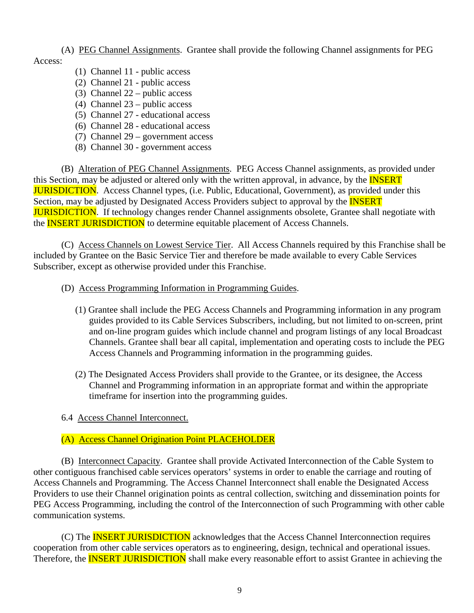(A) PEG Channel Assignments. Grantee shall provide the following Channel assignments for PEG

- Access:
- (1) Channel 11 public access
- (2) Channel 21 public access
- (3) Channel 22 public access
- (4) Channel 23 public access
- (5) Channel 27 educational access
- (6) Channel 28 educational access
- (7) Channel 29 government access
- (8) Channel 30 government access

(B) Alteration of PEG Channel Assignments. PEG Access Channel assignments, as provided under this Section, may be adjusted or altered only with the written approval, in advance, by the **INSERT** JURISDICTION. Access Channel types, (i.e. Public, Educational, Government), as provided under this Section, may be adjusted by Designated Access Providers subject to approval by the **INSERT JURISDICTION.** If technology changes render Channel assignments obsolete, Grantee shall negotiate with the **INSERT JURISDICTION** to determine equitable placement of Access Channels.

(C) Access Channels on Lowest Service Tier. All Access Channels required by this Franchise shall be included by Grantee on the Basic Service Tier and therefore be made available to every Cable Services Subscriber, except as otherwise provided under this Franchise.

- (D) Access Programming Information in Programming Guides.
	- (1) Grantee shall include the PEG Access Channels and Programming information in any program guides provided to its Cable Services Subscribers, including, but not limited to on-screen, print and on-line program guides which include channel and program listings of any local Broadcast Channels. Grantee shall bear all capital, implementation and operating costs to include the PEG Access Channels and Programming information in the programming guides.
	- (2) The Designated Access Providers shall provide to the Grantee, or its designee, the Access Channel and Programming information in an appropriate format and within the appropriate timeframe for insertion into the programming guides.
- 6.4 Access Channel Interconnect.

### (A) Access Channel Origination Point PLACEHOLDER

(B) Interconnect Capacity. Grantee shall provide Activated Interconnection of the Cable System to other contiguous franchised cable services operators' systems in order to enable the carriage and routing of Access Channels and Programming. The Access Channel Interconnect shall enable the Designated Access Providers to use their Channel origination points as central collection, switching and dissemination points for PEG Access Programming, including the control of the Interconnection of such Programming with other cable communication systems.

(C) The INSERT JURISDICTION acknowledges that the Access Channel Interconnection requires cooperation from other cable services operators as to engineering, design, technical and operational issues. Therefore, the **INSERT JURISDICTION** shall make every reasonable effort to assist Grantee in achieving the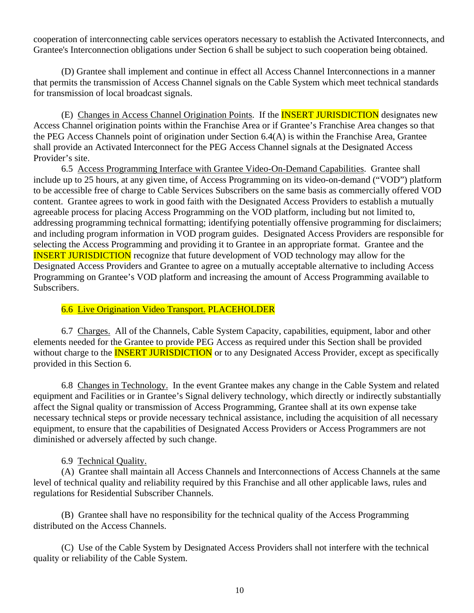cooperation of interconnecting cable services operators necessary to establish the Activated Interconnects, and Grantee's Interconnection obligations under Section 6 shall be subject to such cooperation being obtained.

 (D) Grantee shall implement and continue in effect all Access Channel Interconnections in a manner that permits the transmission of Access Channel signals on the Cable System which meet technical standards for transmission of local broadcast signals.

(E) Changes in Access Channel Origination Points. If the **INSERT JURISDICTION** designates new Access Channel origination points within the Franchise Area or if Grantee's Franchise Area changes so that the PEG Access Channels point of origination under Section 6.4(A) is within the Franchise Area, Grantee shall provide an Activated Interconnect for the PEG Access Channel signals at the Designated Access Provider's site.

 6.5 Access Programming Interface with Grantee Video-On-Demand Capabilities. Grantee shall include up to 25 hours, at any given time, of Access Programming on its video-on-demand ("VOD") platform to be accessible free of charge to Cable Services Subscribers on the same basis as commercially offered VOD content. Grantee agrees to work in good faith with the Designated Access Providers to establish a mutually agreeable process for placing Access Programming on the VOD platform, including but not limited to, addressing programming technical formatting; identifying potentially offensive programming for disclaimers; and including program information in VOD program guides. Designated Access Providers are responsible for selecting the Access Programming and providing it to Grantee in an appropriate format. Grantee and the INSERT JURISDICTION recognize that future development of VOD technology may allow for the Designated Access Providers and Grantee to agree on a mutually acceptable alternative to including Access Programming on Grantee's VOD platform and increasing the amount of Access Programming available to Subscribers.

#### 6.6 Live Origination Video Transport. PLACEHOLDER

6.7 Charges. All of the Channels, Cable System Capacity, capabilities, equipment, labor and other elements needed for the Grantee to provide PEG Access as required under this Section shall be provided without charge to the **INSERT JURISDICTION** or to any Designated Access Provider, except as specifically provided in this Section 6.

6.8 Changes in Technology. In the event Grantee makes any change in the Cable System and related equipment and Facilities or in Grantee's Signal delivery technology, which directly or indirectly substantially affect the Signal quality or transmission of Access Programming, Grantee shall at its own expense take necessary technical steps or provide necessary technical assistance, including the acquisition of all necessary equipment, to ensure that the capabilities of Designated Access Providers or Access Programmers are not diminished or adversely affected by such change.

### 6.9 Technical Quality.

(A) Grantee shall maintain all Access Channels and Interconnections of Access Channels at the same level of technical quality and reliability required by this Franchise and all other applicable laws, rules and regulations for Residential Subscriber Channels.

(B) Grantee shall have no responsibility for the technical quality of the Access Programming distributed on the Access Channels.

(C) Use of the Cable System by Designated Access Providers shall not interfere with the technical quality or reliability of the Cable System.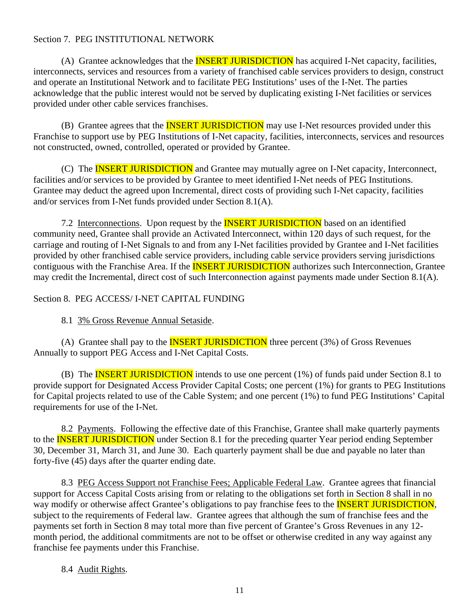### Section 7. PEG INSTITUTIONAL NETWORK

(A) Grantee acknowledges that the **INSERT JURISDICTION** has acquired I-Net capacity, facilities, interconnects, services and resources from a variety of franchised cable services providers to design, construct and operate an Institutional Network and to facilitate PEG Institutions' uses of the I-Net. The parties acknowledge that the public interest would not be served by duplicating existing I-Net facilities or services provided under other cable services franchises.

(B) Grantee agrees that the **INSERT JURISDICTION** may use I-Net resources provided under this Franchise to support use by PEG Institutions of I-Net capacity, facilities, interconnects, services and resources not constructed, owned, controlled, operated or provided by Grantee.

(C) The **INSERT JURISDICTION** and Grantee may mutually agree on I-Net capacity, Interconnect, facilities and/or services to be provided by Grantee to meet identified I-Net needs of PEG Institutions. Grantee may deduct the agreed upon Incremental, direct costs of providing such I-Net capacity, facilities and/or services from I-Net funds provided under Section 8.1(A).

7.2 Interconnections. Upon request by the **INSERT JURISDICTION** based on an identified community need, Grantee shall provide an Activated Interconnect, within 120 days of such request, for the carriage and routing of I-Net Signals to and from any I-Net facilities provided by Grantee and I-Net facilities provided by other franchised cable service providers, including cable service providers serving jurisdictions contiguous with the Franchise Area. If the **INSERT JURISDICTION** authorizes such Interconnection, Grantee may credit the Incremental, direct cost of such Interconnection against payments made under Section 8.1(A).

Section 8. PEG ACCESS/ I-NET CAPITAL FUNDING

8.1 3% Gross Revenue Annual Setaside.

(A) Grantee shall pay to the **INSERT JURISDICTION** three percent  $(3%)$  of Gross Revenues Annually to support PEG Access and I-Net Capital Costs.

(B) The **INSERT JURISDICTION** intends to use one percent (1%) of funds paid under Section 8.1 to provide support for Designated Access Provider Capital Costs; one percent (1%) for grants to PEG Institutions for Capital projects related to use of the Cable System; and one percent (1%) to fund PEG Institutions' Capital requirements for use of the I-Net.

8.2 Payments. Following the effective date of this Franchise, Grantee shall make quarterly payments to the **INSERT JURISDICTION** under Section 8.1 for the preceding quarter Year period ending September 30, December 31, March 31, and June 30. Each quarterly payment shall be due and payable no later than forty-five (45) days after the quarter ending date.

8.3 PEG Access Support not Franchise Fees; Applicable Federal Law. Grantee agrees that financial support for Access Capital Costs arising from or relating to the obligations set forth in Section 8 shall in no way modify or otherwise affect Grantee's obligations to pay franchise fees to the **INSERT JURISDICTION**, subject to the requirements of Federal law. Grantee agrees that although the sum of franchise fees and the payments set forth in Section 8 may total more than five percent of Grantee's Gross Revenues in any 12 month period, the additional commitments are not to be offset or otherwise credited in any way against any franchise fee payments under this Franchise.

#### 8.4 Audit Rights.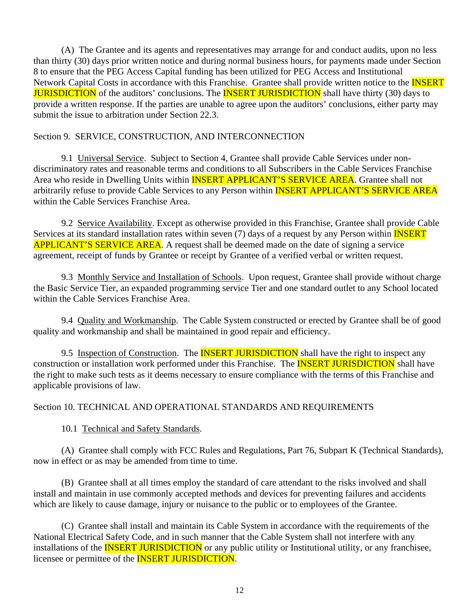(A) The Grantee and its agents and representatives may arrange for and conduct audits, upon no less than thirty (30) days prior written notice and during normal business hours, for payments made under Section 8 to ensure that the PEG Access Capital funding has been utilized for PEG Access and Institutional Network Capital Costs in accordance with this Franchise. Grantee shall provide written notice to the **INSERT JURISDICTION** of the auditors' conclusions. The **INSERT JURISDICTION** shall have thirty (30) days to provide a written response. If the parties are unable to agree upon the auditors' conclusions, either party may submit the issue to arbitration under Section 22.3.

#### Section 9. SERVICE, CONSTRUCTION, AND INTERCONNECTION

9.1 Universal Service. Subject to Section 4, Grantee shall provide Cable Services under nondiscriminatory rates and reasonable terms and conditions to all Subscribers in the Cable Services Franchise Area who reside in Dwelling Units within **INSERT APPLICANT'S SERVICE AREA**. Grantee shall not arbitrarily refuse to provide Cable Services to any Person within **INSERT APPLICANT'S SERVICE AREA** within the Cable Services Franchise Area.

9.2 Service Availability. Except as otherwise provided in this Franchise, Grantee shall provide Cable Services at its standard installation rates within seven (7) days of a request by any Person within **INSERT** APPLICANT'S SERVICE AREA. A request shall be deemed made on the date of signing a service agreement, receipt of funds by Grantee or receipt by Grantee of a verified verbal or written request.

9.3 Monthly Service and Installation of Schools. Upon request, Grantee shall provide without charge the Basic Service Tier, an expanded programming service Tier and one standard outlet to any School located within the Cable Services Franchise Area.

9.4 Quality and Workmanship. The Cable System constructed or erected by Grantee shall be of good quality and workmanship and shall be maintained in good repair and efficiency.

9.5 Inspection of Construction. The **INSERT JURISDICTION** shall have the right to inspect any construction or installation work performed under this Franchise. The **INSERT JURISDICTION** shall have the right to make such tests as it deems necessary to ensure compliance with the terms of this Franchise and applicable provisions of law.

Section 10. TECHNICAL AND OPERATIONAL STANDARDS AND REQUIREMENTS

10.1 Technical and Safety Standards.

(A) Grantee shall comply with FCC Rules and Regulations, Part 76, Subpart K (Technical Standards), now in effect or as may be amended from time to time.

(B) Grantee shall at all times employ the standard of care attendant to the risks involved and shall install and maintain in use commonly accepted methods and devices for preventing failures and accidents which are likely to cause damage, injury or nuisance to the public or to employees of the Grantee.

(C) Grantee shall install and maintain its Cable System in accordance with the requirements of the National Electrical Safety Code, and in such manner that the Cable System shall not interfere with any installations of the **INSERT JURISDICTION** or any public utility or Institutional utility, or any franchisee, licensee or permittee of the **INSERT JURISDICTION**.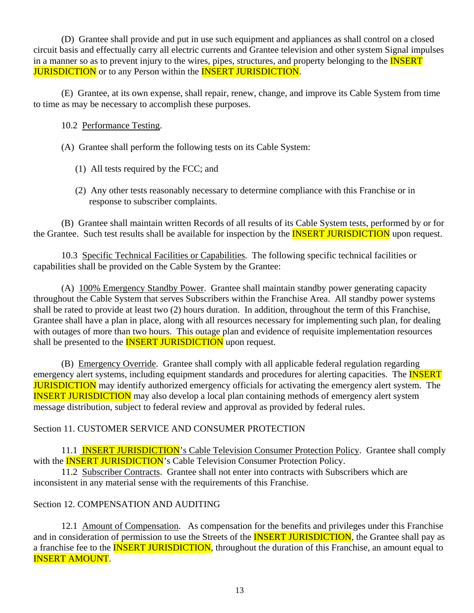(D) Grantee shall provide and put in use such equipment and appliances as shall control on a closed circuit basis and effectually carry all electric currents and Grantee television and other system Signal impulses in a manner so as to prevent injury to the wires, pipes, structures, and property belonging to the **INSERT JURISDICTION** or to any Person within the **INSERT JURISDICTION**.

(E) Grantee, at its own expense, shall repair, renew, change, and improve its Cable System from time to time as may be necessary to accomplish these purposes.

### 10.2 Performance Testing.

- (A) Grantee shall perform the following tests on its Cable System:
	- (1) All tests required by the FCC; and
	- (2) Any other tests reasonably necessary to determine compliance with this Franchise or in response to subscriber complaints.

(B) Grantee shall maintain written Records of all results of its Cable System tests, performed by or for the Grantee. Such test results shall be available for inspection by the **INSERT JURISDICTION** upon request.

10.3 Specific Technical Facilities or Capabilities. The following specific technical facilities or capabilities shall be provided on the Cable System by the Grantee:

(A) 100% Emergency Standby Power. Grantee shall maintain standby power generating capacity throughout the Cable System that serves Subscribers within the Franchise Area. All standby power systems shall be rated to provide at least two (2) hours duration. In addition, throughout the term of this Franchise, Grantee shall have a plan in place, along with all resources necessary for implementing such plan, for dealing with outages of more than two hours. This outage plan and evidence of requisite implementation resources shall be presented to the **INSERT JURISDICTION** upon request.

(B) Emergency Override. Grantee shall comply with all applicable federal regulation regarding emergency alert systems, including equipment standards and procedures for alerting capacities. The **INSERT JURISDICTION** may identify authorized emergency officials for activating the emergency alert system. The INSERT JURISDICTION may also develop a local plan containing methods of emergency alert system message distribution, subject to federal review and approval as provided by federal rules.

### Section 11. CUSTOMER SERVICE AND CONSUMER PROTECTION

11.1 **INSERT JURISDICTION's Cable Television Consumer Protection Policy.** Grantee shall comply with the **INSERT JURISDICTION**'s Cable Television Consumer Protection Policy.

11.2 Subscriber Contracts. Grantee shall not enter into contracts with Subscribers which are inconsistent in any material sense with the requirements of this Franchise.

### Section 12. COMPENSATION AND AUDITING

12.1 Amount of Compensation. As compensation for the benefits and privileges under this Franchise and in consideration of permission to use the Streets of the **INSERT JURISDICTION**, the Grantee shall pay as a franchise fee to the **INSERT JURISDICTION**, throughout the duration of this Franchise, an amount equal to INSERT AMOUNT.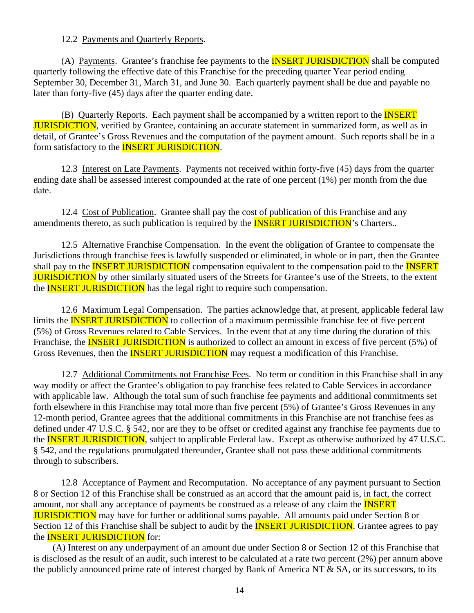#### 12.2 Payments and Quarterly Reports.

(A) Payments. Grantee's franchise fee payments to the **INSERT JURISDICTION** shall be computed quarterly following the effective date of this Franchise for the preceding quarter Year period ending September 30, December 31, March 31, and June 30. Each quarterly payment shall be due and payable no later than forty-five (45) days after the quarter ending date.

(B) Quarterly Reports. Each payment shall be accompanied by a written report to the **INSERT JURISDICTION**, verified by Grantee, containing an accurate statement in summarized form, as well as in detail, of Grantee's Gross Revenues and the computation of the payment amount. Such reports shall be in a form satisfactory to the INSERT JURISDICTION.

12.3 Interest on Late Payments. Payments not received within forty-five (45) days from the quarter ending date shall be assessed interest compounded at the rate of one percent (1%) per month from the due date.

12.4 Cost of Publication. Grantee shall pay the cost of publication of this Franchise and any amendments thereto, as such publication is required by the **INSERT JURISDICTION**'s Charters..

12.5 Alternative Franchise Compensation. In the event the obligation of Grantee to compensate the Jurisdictions through franchise fees is lawfully suspended or eliminated, in whole or in part, then the Grantee shall pay to the **INSERT JURISDICTION** compensation equivalent to the compensation paid to the **INSERT JURISDICTION** by other similarly situated users of the Streets for Grantee's use of the Streets, to the extent the **INSERT JURISDICTION** has the legal right to require such compensation.

12.6 Maximum Legal Compensation. The parties acknowledge that, at present, applicable federal law limits the **INSERT JURISDICTION** to collection of a maximum permissible franchise fee of five percent (5%) of Gross Revenues related to Cable Services. In the event that at any time during the duration of this Franchise, the **INSERT JURISDICTION** is authorized to collect an amount in excess of five percent (5%) of Gross Revenues, then the **INSERT JURISDICTION** may request a modification of this Franchise.

12.7 Additional Commitments not Franchise Fees. No term or condition in this Franchise shall in any way modify or affect the Grantee's obligation to pay franchise fees related to Cable Services in accordance with applicable law. Although the total sum of such franchise fee payments and additional commitments set forth elsewhere in this Franchise may total more than five percent (5%) of Grantee's Gross Revenues in any 12-month period, Grantee agrees that the additional commitments in this Franchise are not franchise fees as defined under 47 U.S.C. § 542, nor are they to be offset or credited against any franchise fee payments due to the **INSERT JURISDICTION**, subject to applicable Federal law. Except as otherwise authorized by 47 U.S.C. § 542, and the regulations promulgated thereunder, Grantee shall not pass these additional commitments through to subscribers.

12.8 Acceptance of Payment and Recomputation. No acceptance of any payment pursuant to Section 8 or Section 12 of this Franchise shall be construed as an accord that the amount paid is, in fact, the correct amount, nor shall any acceptance of payments be construed as a release of any claim the **INSERT JURISDICTION** may have for further or additional sums payable. All amounts paid under Section 8 or Section 12 of this Franchise shall be subject to audit by the **INSERT JURISDICTION**. Grantee agrees to pay the **INSERT JURISDICTION** for:

 (A) Interest on any underpayment of an amount due under Section 8 or Section 12 of this Franchise that is disclosed as the result of an audit, such interest to be calculated at a rate two percent (2%) per annum above the publicly announced prime rate of interest charged by Bank of America NT & SA, or its successors, to its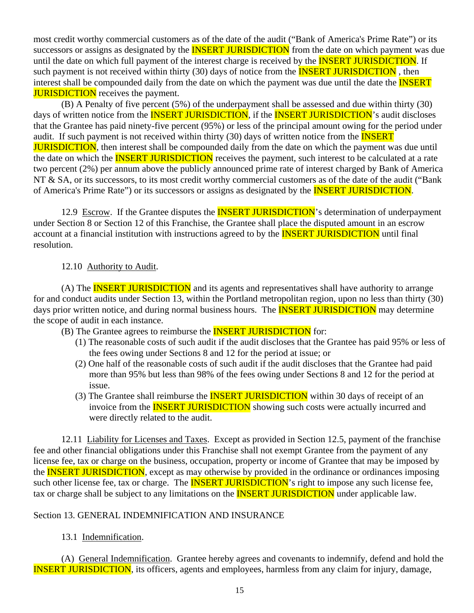most credit worthy commercial customers as of the date of the audit ("Bank of America's Prime Rate") or its successors or assigns as designated by the **INSERT JURISDICTION** from the date on which payment was due until the date on which full payment of the interest charge is received by the **INSERT JURISDICTION**. If such payment is not received within thirty (30) days of notice from the **INSERT JURISDICTION**, then interest shall be compounded daily from the date on which the payment was due until the date the **INSERT JURISDICTION** receives the payment.

(B) A Penalty of five percent (5%) of the underpayment shall be assessed and due within thirty (30) days of written notice from the **INSERT JURISDICTION**, if the **INSERT JURISDICTION**'s audit discloses that the Grantee has paid ninety-five percent (95%) or less of the principal amount owing for the period under audit. If such payment is not received within thirty (30) days of written notice from the **INSERT JURISDICTION**, then interest shall be compounded daily from the date on which the payment was due until the date on which the **INSERT JURISDICTION** receives the payment, such interest to be calculated at a rate two percent (2%) per annum above the publicly announced prime rate of interest charged by Bank of America NT & SA, or its successors, to its most credit worthy commercial customers as of the date of the audit ("Bank" of America's Prime Rate") or its successors or assigns as designated by the **INSERT JURISDICTION**.

12.9 Escrow. If the Grantee disputes the **INSERT JURISDICTION**'s determination of underpayment under Section 8 or Section 12 of this Franchise, the Grantee shall place the disputed amount in an escrow account at a financial institution with instructions agreed to by the **INSERT JURISDICTION** until final resolution.

### 12.10 Authority to Audit.

(A) The **INSERT JURISDICTION** and its agents and representatives shall have authority to arrange for and conduct audits under Section 13, within the Portland metropolitan region, upon no less than thirty (30) days prior written notice, and during normal business hours. The **INSERT JURISDICTION** may determine the scope of audit in each instance.

(B) The Grantee agrees to reimburse the **INSERT JURISDICTION** for:

- (1) The reasonable costs of such audit if the audit discloses that the Grantee has paid 95% or less of the fees owing under Sections 8 and 12 for the period at issue; or
- (2) One half of the reasonable costs of such audit if the audit discloses that the Grantee had paid more than 95% but less than 98% of the fees owing under Sections 8 and 12 for the period at issue.
- (3) The Grantee shall reimburse the **INSERT JURISDICTION** within 30 days of receipt of an invoice from the **INSERT JURISDICTION** showing such costs were actually incurred and were directly related to the audit.

12.11 Liability for Licenses and Taxes. Except as provided in Section 12.5, payment of the franchise fee and other financial obligations under this Franchise shall not exempt Grantee from the payment of any license fee, tax or charge on the business, occupation, property or income of Grantee that may be imposed by the **INSERT JURISDICTION**, except as may otherwise by provided in the ordinance or ordinances imposing such other license fee, tax or charge. The **INSERT JURISDICTION**'s right to impose any such license fee, tax or charge shall be subject to any limitations on the **INSERT JURISDICTION** under applicable law.

#### Section 13. GENERAL INDEMNIFICATION AND INSURANCE

### 13.1 Indemnification.

(A) General Indemnification. Grantee hereby agrees and covenants to indemnify, defend and hold the INSERT JURISDICTION, its officers, agents and employees, harmless from any claim for injury, damage,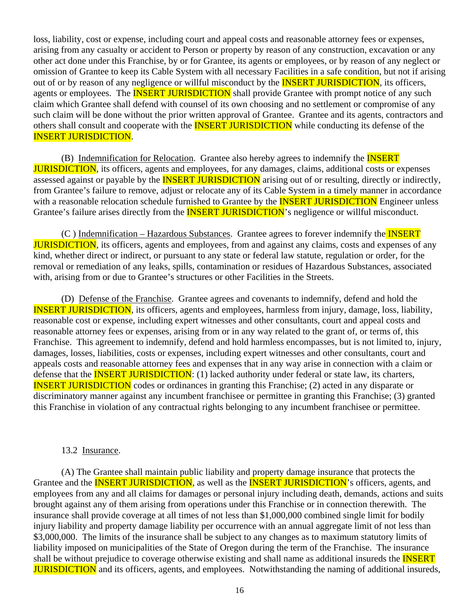loss, liability, cost or expense, including court and appeal costs and reasonable attorney fees or expenses, arising from any casualty or accident to Person or property by reason of any construction, excavation or any other act done under this Franchise, by or for Grantee, its agents or employees, or by reason of any neglect or omission of Grantee to keep its Cable System with all necessary Facilities in a safe condition, but not if arising out of or by reason of any negligence or willful misconduct by the **INSERT JURISDICTION**, its officers, agents or employees. The **INSERT JURISDICTION** shall provide Grantee with prompt notice of any such claim which Grantee shall defend with counsel of its own choosing and no settlement or compromise of any such claim will be done without the prior written approval of Grantee. Grantee and its agents, contractors and others shall consult and cooperate with the **INSERT JURISDICTION** while conducting its defense of the INSERT JURISDICTION.

(B) Indemnification for Relocation. Grantee also hereby agrees to indemnify the **INSERT** JURISDICTION, its officers, agents and employees, for any damages, claims, additional costs or expenses assessed against or payable by the **INSERT JURISDICTION** arising out of or resulting, directly or indirectly, from Grantee's failure to remove, adjust or relocate any of its Cable System in a timely manner in accordance with a reasonable relocation schedule furnished to Grantee by the **INSERT JURISDICTION** Engineer unless Grantee's failure arises directly from the **INSERT JURISDICTION**'s negligence or willful misconduct.

(C ) Indemnification – Hazardous Substances. Grantee agrees to forever indemnify the INSERT **JURISDICTION**, its officers, agents and employees, from and against any claims, costs and expenses of any kind, whether direct or indirect, or pursuant to any state or federal law statute, regulation or order, for the removal or remediation of any leaks, spills, contamination or residues of Hazardous Substances, associated with, arising from or due to Grantee's structures or other Facilities in the Streets.

(D) Defense of the Franchise. Grantee agrees and covenants to indemnify, defend and hold the INSERT JURISDICTION, its officers, agents and employees, harmless from injury, damage, loss, liability, reasonable cost or expense, including expert witnesses and other consultants, court and appeal costs and reasonable attorney fees or expenses, arising from or in any way related to the grant of, or terms of, this Franchise. This agreement to indemnify, defend and hold harmless encompasses, but is not limited to, injury, damages, losses, liabilities, costs or expenses, including expert witnesses and other consultants, court and appeals costs and reasonable attorney fees and expenses that in any way arise in connection with a claim or defense that the **INSERT JURISDICTION**: (1) lacked authority under federal or state law, its charters, INSERT JURISDICTION codes or ordinances in granting this Franchise; (2) acted in any disparate or discriminatory manner against any incumbent franchisee or permittee in granting this Franchise; (3) granted this Franchise in violation of any contractual rights belonging to any incumbent franchisee or permittee.

#### 13.2 Insurance.

(A) The Grantee shall maintain public liability and property damage insurance that protects the Grantee and the **INSERT JURISDICTION**, as well as the **INSERT JURISDICTION**'s officers, agents, and employees from any and all claims for damages or personal injury including death, demands, actions and suits brought against any of them arising from operations under this Franchise or in connection therewith. The insurance shall provide coverage at all times of not less than \$1,000,000 combined single limit for bodily injury liability and property damage liability per occurrence with an annual aggregate limit of not less than \$3,000,000. The limits of the insurance shall be subject to any changes as to maximum statutory limits of liability imposed on municipalities of the State of Oregon during the term of the Franchise. The insurance shall be without prejudice to coverage otherwise existing and shall name as additional insureds the **INSERT JURISDICTION** and its officers, agents, and employees. Notwithstanding the naming of additional insureds,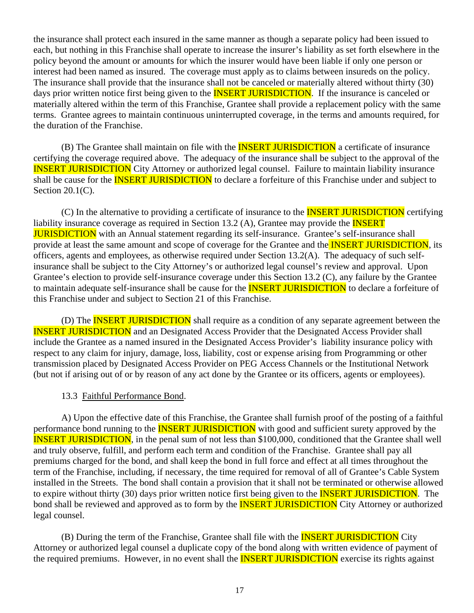the insurance shall protect each insured in the same manner as though a separate policy had been issued to each, but nothing in this Franchise shall operate to increase the insurer's liability as set forth elsewhere in the policy beyond the amount or amounts for which the insurer would have been liable if only one person or interest had been named as insured. The coverage must apply as to claims between insureds on the policy. The insurance shall provide that the insurance shall not be canceled or materially altered without thirty (30) days prior written notice first being given to the **INSERT JURISDICTION**. If the insurance is canceled or materially altered within the term of this Franchise, Grantee shall provide a replacement policy with the same terms. Grantee agrees to maintain continuous uninterrupted coverage, in the terms and amounts required, for the duration of the Franchise.

(B) The Grantee shall maintain on file with the **INSERT JURISDICTION** a certificate of insurance certifying the coverage required above. The adequacy of the insurance shall be subject to the approval of the INSERT JURISDICTION City Attorney or authorized legal counsel. Failure to maintain liability insurance shall be cause for the **INSERT JURISDICTION** to declare a forfeiture of this Franchise under and subject to Section 20.1(C).

(C) In the alternative to providing a certificate of insurance to the **INSERT JURISDICTION** certifying liability insurance coverage as required in Section 13.2 (A), Grantee may provide the **INSERT JURISDICTION** with an Annual statement regarding its self-insurance. Grantee's self-insurance shall provide at least the same amount and scope of coverage for the Grantee and the **INSERT JURISDICTION**, its officers, agents and employees, as otherwise required under Section 13.2(A). The adequacy of such selfinsurance shall be subject to the City Attorney's or authorized legal counsel's review and approval. Upon Grantee's election to provide self-insurance coverage under this Section 13.2 (C), any failure by the Grantee to maintain adequate self-insurance shall be cause for the **INSERT JURISDICTION** to declare a forfeiture of this Franchise under and subject to Section 21 of this Franchise.

(D) The **INSERT JURISDICTION** shall require as a condition of any separate agreement between the INSERT JURISDICTION and an Designated Access Provider that the Designated Access Provider shall include the Grantee as a named insured in the Designated Access Provider's liability insurance policy with respect to any claim for injury, damage, loss, liability, cost or expense arising from Programming or other transmission placed by Designated Access Provider on PEG Access Channels or the Institutional Network (but not if arising out of or by reason of any act done by the Grantee or its officers, agents or employees).

#### 13.3 Faithful Performance Bond.

A) Upon the effective date of this Franchise, the Grantee shall furnish proof of the posting of a faithful performance bond running to the **INSERT JURISDICTION** with good and sufficient surety approved by the INSERT JURISDICTION, in the penal sum of not less than \$100,000, conditioned that the Grantee shall well and truly observe, fulfill, and perform each term and condition of the Franchise. Grantee shall pay all premiums charged for the bond, and shall keep the bond in full force and effect at all times throughout the term of the Franchise, including, if necessary, the time required for removal of all of Grantee's Cable System installed in the Streets. The bond shall contain a provision that it shall not be terminated or otherwise allowed to expire without thirty (30) days prior written notice first being given to the **INSERT JURISDICTION**. The bond shall be reviewed and approved as to form by the **INSERT JURISDICTION** City Attorney or authorized legal counsel.

(B) During the term of the Franchise, Grantee shall file with the **INSERT JURISDICTION** City Attorney or authorized legal counsel a duplicate copy of the bond along with written evidence of payment of the required premiums. However, in no event shall the **INSERT JURISDICTION** exercise its rights against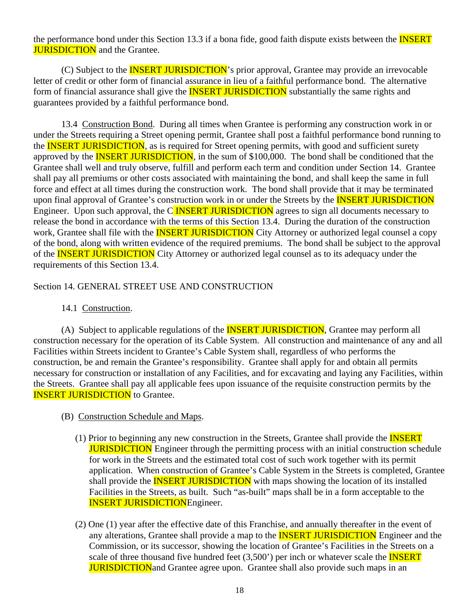the performance bond under this Section 13.3 if a bona fide, good faith dispute exists between the **INSERT JURISDICTION** and the Grantee.

(C) Subject to the **INSERT JURISDICTION**'s prior approval, Grantee may provide an irrevocable letter of credit or other form of financial assurance in lieu of a faithful performance bond. The alternative form of financial assurance shall give the **INSERT JURISDICTION** substantially the same rights and guarantees provided by a faithful performance bond.

13.4 Construction Bond. During all times when Grantee is performing any construction work in or under the Streets requiring a Street opening permit, Grantee shall post a faithful performance bond running to the **INSERT JURISDICTION**, as is required for Street opening permits, with good and sufficient surety approved by the **INSERT JURISDICTION**, in the sum of \$100,000. The bond shall be conditioned that the Grantee shall well and truly observe, fulfill and perform each term and condition under Section 14. Grantee shall pay all premiums or other costs associated with maintaining the bond, and shall keep the same in full force and effect at all times during the construction work. The bond shall provide that it may be terminated upon final approval of Grantee's construction work in or under the Streets by the **INSERT JURISDICTION** Engineer. Upon such approval, the C**INSERT JURISDICTION** agrees to sign all documents necessary to release the bond in accordance with the terms of this Section 13.4. During the duration of the construction work, Grantee shall file with the **INSERT JURISDICTION** City Attorney or authorized legal counsel a copy of the bond, along with written evidence of the required premiums. The bond shall be subject to the approval of the **INSERT JURISDICTION** City Attorney or authorized legal counsel as to its adequacy under the requirements of this Section 13.4.

### Section 14. GENERAL STREET USE AND CONSTRUCTION

#### 14.1 Construction.

(A) Subject to applicable regulations of the **INSERT JURISDICTION**, Grantee may perform all construction necessary for the operation of its Cable System. All construction and maintenance of any and all Facilities within Streets incident to Grantee's Cable System shall, regardless of who performs the construction, be and remain the Grantee's responsibility. Grantee shall apply for and obtain all permits necessary for construction or installation of any Facilities, and for excavating and laying any Facilities, within the Streets. Grantee shall pay all applicable fees upon issuance of the requisite construction permits by the **INSERT JURISDICTION** to Grantee.

- (B) Construction Schedule and Maps.
	- (1) Prior to beginning any new construction in the Streets, Grantee shall provide the INSERT **JURISDICTION** Engineer through the permitting process with an initial construction schedule for work in the Streets and the estimated total cost of such work together with its permit application. When construction of Grantee's Cable System in the Streets is completed, Grantee shall provide the **INSERT JURISDICTION** with maps showing the location of its installed Facilities in the Streets, as built. Such "as-built" maps shall be in a form acceptable to the INSERT JURISDICTIONEngineer.
	- (2) One (1) year after the effective date of this Franchise, and annually thereafter in the event of any alterations, Grantee shall provide a map to the **INSERT JURISDICTION** Engineer and the Commission, or its successor, showing the location of Grantee's Facilities in the Streets on a scale of three thousand five hundred feet  $(3,500)$  per inch or whatever scale the **INSERT** JURISDICTIONand Grantee agree upon. Grantee shall also provide such maps in an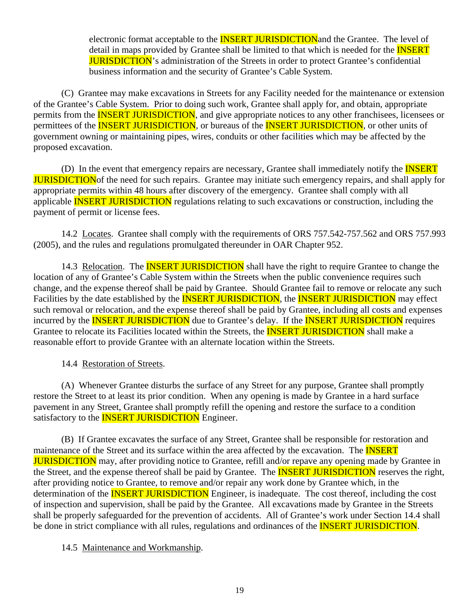electronic format acceptable to the **INSERT JURISDICTION** and the Grantee. The level of detail in maps provided by Grantee shall be limited to that which is needed for the **INSERT** JURISDICTION's administration of the Streets in order to protect Grantee's confidential business information and the security of Grantee's Cable System.

(C) Grantee may make excavations in Streets for any Facility needed for the maintenance or extension of the Grantee's Cable System. Prior to doing such work, Grantee shall apply for, and obtain, appropriate permits from the **INSERT JURISDICTION**, and give appropriate notices to any other franchisees, licensees or permittees of the **INSERT JURISDICTION**, or bureaus of the **INSERT JURISDICTION**, or other units of government owning or maintaining pipes, wires, conduits or other facilities which may be affected by the proposed excavation.

(D) In the event that emergency repairs are necessary, Grantee shall immediately notify the **INSERT JURISDICTION** of the need for such repairs. Grantee may initiate such emergency repairs, and shall apply for appropriate permits within 48 hours after discovery of the emergency. Grantee shall comply with all applicable **INSERT JURISDICTION** regulations relating to such excavations or construction, including the payment of permit or license fees.

14.2 Locates. Grantee shall comply with the requirements of ORS 757.542-757.562 and ORS 757.993 (2005), and the rules and regulations promulgated thereunder in OAR Chapter 952.

14.3 Relocation. The **INSERT JURISDICTION** shall have the right to require Grantee to change the location of any of Grantee's Cable System within the Streets when the public convenience requires such change, and the expense thereof shall be paid by Grantee. Should Grantee fail to remove or relocate any such Facilities by the date established by the **INSERT JURISDICTION**, the **INSERT JURISDICTION** may effect such removal or relocation, and the expense thereof shall be paid by Grantee, including all costs and expenses incurred by the **INSERT JURISDICTION** due to Grantee's delay. If the **INSERT JURISDICTION** requires Grantee to relocate its Facilities located within the Streets, the **INSERT JURISDICTION** shall make a reasonable effort to provide Grantee with an alternate location within the Streets.

14.4 Restoration of Streets.

(A) Whenever Grantee disturbs the surface of any Street for any purpose, Grantee shall promptly restore the Street to at least its prior condition. When any opening is made by Grantee in a hard surface pavement in any Street, Grantee shall promptly refill the opening and restore the surface to a condition satisfactory to the **INSERT JURISDICTION** Engineer.

(B) If Grantee excavates the surface of any Street, Grantee shall be responsible for restoration and maintenance of the Street and its surface within the area affected by the excavation. The **INSERT** JURISDICTION may, after providing notice to Grantee, refill and/or repave any opening made by Grantee in the Street, and the expense thereof shall be paid by Grantee. The **INSERT JURISDICTION** reserves the right, after providing notice to Grantee, to remove and/or repair any work done by Grantee which, in the determination of the **INSERT JURISDICTION** Engineer, is inadequate. The cost thereof, including the cost of inspection and supervision, shall be paid by the Grantee. All excavations made by Grantee in the Streets shall be properly safeguarded for the prevention of accidents. All of Grantee's work under Section 14.4 shall be done in strict compliance with all rules, regulations and ordinances of the **INSERT JURISDICTION**.

### 14.5 Maintenance and Workmanship.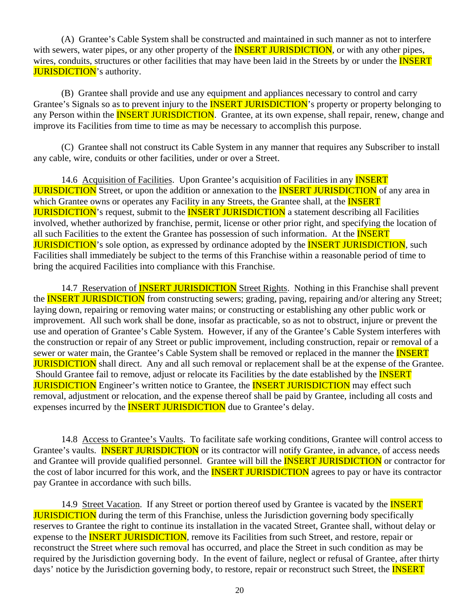(A) Grantee's Cable System shall be constructed and maintained in such manner as not to interfere with sewers, water pipes, or any other property of the **INSERT JURISDICTION**, or with any other pipes, wires, conduits, structures or other facilities that may have been laid in the Streets by or under the **INSERT JURISDICTION**'s authority.

(B) Grantee shall provide and use any equipment and appliances necessary to control and carry Grantee's Signals so as to prevent injury to the **INSERT JURISDICTION**'s property or property belonging to any Person within the **INSERT JURISDICTION**. Grantee, at its own expense, shall repair, renew, change and improve its Facilities from time to time as may be necessary to accomplish this purpose.

(C) Grantee shall not construct its Cable System in any manner that requires any Subscriber to install any cable, wire, conduits or other facilities, under or over a Street.

14.6 Acquisition of Facilities. Upon Grantee's acquisition of Facilities in any **INSERT JURISDICTION** Street, or upon the addition or annexation to the **INSERT JURISDICTION** of any area in which Grantee owns or operates any Facility in any Streets, the Grantee shall, at the **INSERT JURISDICTION's** request, submit to the **INSERT JURISDICTION** a statement describing all Facilities involved, whether authorized by franchise, permit, license or other prior right, and specifying the location of all such Facilities to the extent the Grantee has possession of such information. At the **INSERT JURISDICTION's** sole option, as expressed by ordinance adopted by the **INSERT JURISDICTION**, such Facilities shall immediately be subject to the terms of this Franchise within a reasonable period of time to bring the acquired Facilities into compliance with this Franchise.

14.7 Reservation of **INSERT JURISDICTION** Street Rights. Nothing in this Franchise shall prevent the **INSERT JURISDICTION** from constructing sewers; grading, paving, repairing and/or altering any Street; laying down, repairing or removing water mains; or constructing or establishing any other public work or improvement. All such work shall be done, insofar as practicable, so as not to obstruct, injure or prevent the use and operation of Grantee's Cable System. However, if any of the Grantee's Cable System interferes with the construction or repair of any Street or public improvement, including construction, repair or removal of a sewer or water main, the Grantee's Cable System shall be removed or replaced in the manner the **INSERT JURISDICTION** shall direct. Any and all such removal or replacement shall be at the expense of the Grantee. Should Grantee fail to remove, adjust or relocate its Facilities by the date established by the **INSERT JURISDICTION** Engineer's written notice to Grantee, the **INSERT JURISDICTION** may effect such removal, adjustment or relocation, and the expense thereof shall be paid by Grantee, including all costs and expenses incurred by the **INSERT JURISDICTION** due to Grantee's delay.

14.8 Access to Grantee's Vaults. To facilitate safe working conditions, Grantee will control access to Grantee's vaults. **INSERT JURISDICTION** or its contractor will notify Grantee, in advance, of access needs and Grantee will provide qualified personnel. Grantee will bill the **INSERT JURISDICTION** or contractor for the cost of labor incurred for this work, and the **INSERT JURISDICTION** agrees to pay or have its contractor pay Grantee in accordance with such bills.

14.9 Street Vacation. If any Street or portion thereof used by Grantee is vacated by the **INSERT JURISDICTION** during the term of this Franchise, unless the Jurisdiction governing body specifically reserves to Grantee the right to continue its installation in the vacated Street, Grantee shall, without delay or expense to the **INSERT JURISDICTION**, remove its Facilities from such Street, and restore, repair or reconstruct the Street where such removal has occurred, and place the Street in such condition as may be required by the Jurisdiction governing body. In the event of failure, neglect or refusal of Grantee, after thirty days' notice by the Jurisdiction governing body, to restore, repair or reconstruct such Street, the **INSERT**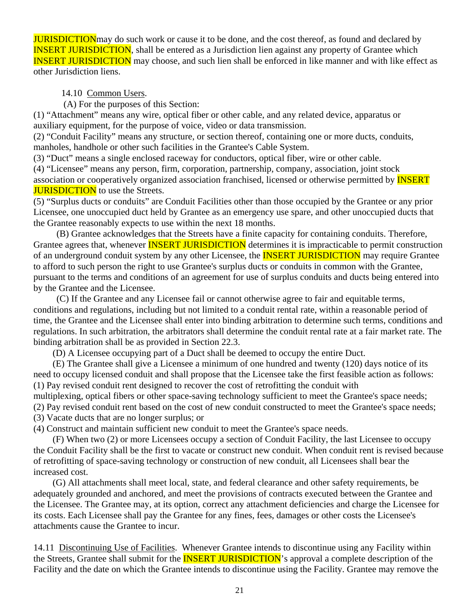**JURISDICTION** may do such work or cause it to be done, and the cost thereof, as found and declared by INSERT JURISDICTION, shall be entered as a Jurisdiction lien against any property of Grantee which INSERT JURISDICTION may choose, and such lien shall be enforced in like manner and with like effect as other Jurisdiction liens.

14.10 Common Users.

(A) For the purposes of this Section:

(1) "Attachment" means any wire, optical fiber or other cable, and any related device, apparatus or auxiliary equipment, for the purpose of voice, video or data transmission.

(2) "Conduit Facility" means any structure, or section thereof, containing one or more ducts, conduits, manholes, handhole or other such facilities in the Grantee's Cable System.

(3) "Duct" means a single enclosed raceway for conductors, optical fiber, wire or other cable.

(4) "Licensee" means any person, firm, corporation, partnership, company, association, joint stock association or cooperatively organized association franchised, licensed or otherwise permitted by INSERT **JURISDICTION** to use the Streets.

(5) "Surplus ducts or conduits" are Conduit Facilities other than those occupied by the Grantee or any prior Licensee, one unoccupied duct held by Grantee as an emergency use spare, and other unoccupied ducts that the Grantee reasonably expects to use within the next 18 months.

 (B) Grantee acknowledges that the Streets have a finite capacity for containing conduits. Therefore, Grantee agrees that, whenever **INSERT JURISDICTION** determines it is impracticable to permit construction of an underground conduit system by any other Licensee, the **INSERT JURISDICTION** may require Grantee to afford to such person the right to use Grantee's surplus ducts or conduits in common with the Grantee, pursuant to the terms and conditions of an agreement for use of surplus conduits and ducts being entered into by the Grantee and the Licensee.

 (C) If the Grantee and any Licensee fail or cannot otherwise agree to fair and equitable terms, conditions and regulations, including but not limited to a conduit rental rate, within a reasonable period of time, the Grantee and the Licensee shall enter into binding arbitration to determine such terms, conditions and regulations. In such arbitration, the arbitrators shall determine the conduit rental rate at a fair market rate. The binding arbitration shall be as provided in Section 22.3.

(D) A Licensee occupying part of a Duct shall be deemed to occupy the entire Duct.

 (E) The Grantee shall give a Licensee a minimum of one hundred and twenty (120) days notice of its need to occupy licensed conduit and shall propose that the Licensee take the first feasible action as follows: (1) Pay revised conduit rent designed to recover the cost of retrofitting the conduit with

multiplexing, optical fibers or other space-saving technology sufficient to meet the Grantee's space needs; (2) Pay revised conduit rent based on the cost of new conduit constructed to meet the Grantee's space needs;

(3) Vacate ducts that are no longer surplus; or

(4) Construct and maintain sufficient new conduit to meet the Grantee's space needs.

 (F) When two (2) or more Licensees occupy a section of Conduit Facility, the last Licensee to occupy the Conduit Facility shall be the first to vacate or construct new conduit. When conduit rent is revised because of retrofitting of space-saving technology or construction of new conduit, all Licensees shall bear the increased cost.

 (G) All attachments shall meet local, state, and federal clearance and other safety requirements, be adequately grounded and anchored, and meet the provisions of contracts executed between the Grantee and the Licensee. The Grantee may, at its option, correct any attachment deficiencies and charge the Licensee for its costs. Each Licensee shall pay the Grantee for any fines, fees, damages or other costs the Licensee's attachments cause the Grantee to incur.

14.11 Discontinuing Use of Facilities. Whenever Grantee intends to discontinue using any Facility within the Streets, Grantee shall submit for the **INSERT JURISDICTION**'s approval a complete description of the Facility and the date on which the Grantee intends to discontinue using the Facility. Grantee may remove the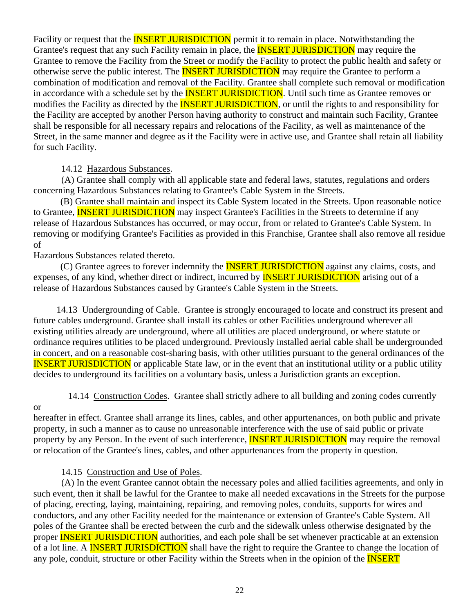Facility or request that the **INSERT JURISDICTION** permit it to remain in place. Notwithstanding the Grantee's request that any such Facility remain in place, the **INSERT JURISDICTION** may require the Grantee to remove the Facility from the Street or modify the Facility to protect the public health and safety or otherwise serve the public interest. The **INSERT JURISDICTION** may require the Grantee to perform a combination of modification and removal of the Facility. Grantee shall complete such removal or modification in accordance with a schedule set by the **INSERT JURISDICTION**. Until such time as Grantee removes or modifies the Facility as directed by the **INSERT JURISDICTION**, or until the rights to and responsibility for the Facility are accepted by another Person having authority to construct and maintain such Facility, Grantee shall be responsible for all necessary repairs and relocations of the Facility, as well as maintenance of the Street, in the same manner and degree as if the Facility were in active use, and Grantee shall retain all liability for such Facility.

14.12 Hazardous Substances.

(A) Grantee shall comply with all applicable state and federal laws, statutes, regulations and orders concerning Hazardous Substances relating to Grantee's Cable System in the Streets.

 (B) Grantee shall maintain and inspect its Cable System located in the Streets. Upon reasonable notice to Grantee, **INSERT JURISDICTION** may inspect Grantee's Facilities in the Streets to determine if any release of Hazardous Substances has occurred, or may occur, from or related to Grantee's Cable System. In removing or modifying Grantee's Facilities as provided in this Franchise, Grantee shall also remove all residue of

Hazardous Substances related thereto.

(C) Grantee agrees to forever indemnify the **INSERT JURISDICTION** against any claims, costs, and expenses, of any kind, whether direct or indirect, incurred by **INSERT JURISDICTION** arising out of a release of Hazardous Substances caused by Grantee's Cable System in the Streets.

 14.13 Undergrounding of Cable. Grantee is strongly encouraged to locate and construct its present and future cables underground. Grantee shall install its cables or other Facilities underground wherever all existing utilities already are underground, where all utilities are placed underground, or where statute or ordinance requires utilities to be placed underground. Previously installed aerial cable shall be undergrounded in concert, and on a reasonable cost-sharing basis, with other utilities pursuant to the general ordinances of the INSERT JURISDICTION or applicable State law, or in the event that an institutional utility or a public utility decides to underground its facilities on a voluntary basis, unless a Jurisdiction grants an exception.

14.14 Construction Codes. Grantee shall strictly adhere to all building and zoning codes currently

or

hereafter in effect. Grantee shall arrange its lines, cables, and other appurtenances, on both public and private property, in such a manner as to cause no unreasonable interference with the use of said public or private property by any Person. In the event of such interference, **INSERT JURISDICTION** may require the removal or relocation of the Grantee's lines, cables, and other appurtenances from the property in question.

### 14.15 Construction and Use of Poles.

(A) In the event Grantee cannot obtain the necessary poles and allied facilities agreements, and only in such event, then it shall be lawful for the Grantee to make all needed excavations in the Streets for the purpose of placing, erecting, laying, maintaining, repairing, and removing poles, conduits, supports for wires and conductors, and any other Facility needed for the maintenance or extension of Grantee's Cable System. All poles of the Grantee shall be erected between the curb and the sidewalk unless otherwise designated by the proper **INSERT JURISDICTION** authorities, and each pole shall be set whenever practicable at an extension of a lot line. A **INSERT JURISDICTION** shall have the right to require the Grantee to change the location of any pole, conduit, structure or other Facility within the Streets when in the opinion of the **INSERT**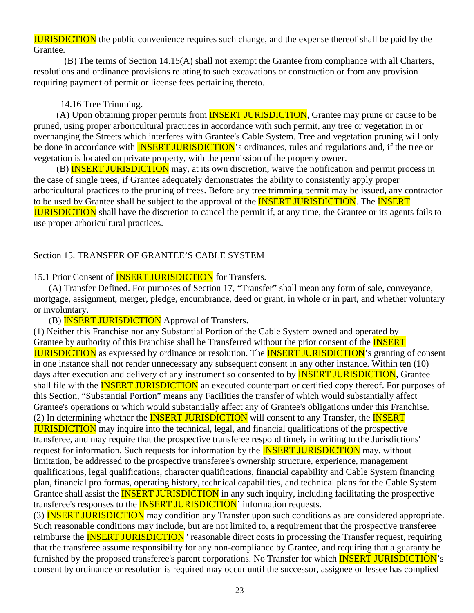**JURISDICTION** the public convenience requires such change, and the expense thereof shall be paid by the Grantee.

 (B) The terms of Section 14.15(A) shall not exempt the Grantee from compliance with all Charters, resolutions and ordinance provisions relating to such excavations or construction or from any provision requiring payment of permit or license fees pertaining thereto.

#### 14.16 Tree Trimming.

(A) Upon obtaining proper permits from **INSERT JURISDICTION**, Grantee may prune or cause to be pruned, using proper arboricultural practices in accordance with such permit, any tree or vegetation in or overhanging the Streets which interferes with Grantee's Cable System. Tree and vegetation pruning will only be done in accordance with **INSERT JURISDICTION**'s ordinances, rules and regulations and, if the tree or vegetation is located on private property, with the permission of the property owner.

(B) **INSERT JURISDICTION** may, at its own discretion, waive the notification and permit process in the case of single trees, if Grantee adequately demonstrates the ability to consistently apply proper arboricultural practices to the pruning of trees. Before any tree trimming permit may be issued, any contractor to be used by Grantee shall be subject to the approval of the **INSERT JURISDICTION**. The **INSERT JURISDICTION** shall have the discretion to cancel the permit if, at any time, the Grantee or its agents fails to use proper arboricultural practices.

#### Section 15. TRANSFER OF GRANTEE'S CABLE SYSTEM

15.1 Prior Consent of **INSERT JURISDICTION** for Transfers.

 (A) Transfer Defined. For purposes of Section 17, "Transfer" shall mean any form of sale, conveyance, mortgage, assignment, merger, pledge, encumbrance, deed or grant, in whole or in part, and whether voluntary or involuntary.

(B) INSERT JURISDICTION Approval of Transfers.

(1) Neither this Franchise nor any Substantial Portion of the Cable System owned and operated by Grantee by authority of this Franchise shall be Transferred without the prior consent of the **INSERT JURISDICTION** as expressed by ordinance or resolution. The **INSERT JURISDICTION**'s granting of consent in one instance shall not render unnecessary any subsequent consent in any other instance. Within ten (10) days after execution and delivery of any instrument so consented to by **INSERT JURISDICTION**, Grantee shall file with the **INSERT JURISDICTION** an executed counterpart or certified copy thereof. For purposes of this Section, "Substantial Portion" means any Facilities the transfer of which would substantially affect Grantee's operations or which would substantially affect any of Grantee's obligations under this Franchise. (2) In determining whether the **INSERT JURISDICTION** will consent to any Transfer, the **INSERT JURISDICTION** may inquire into the technical, legal, and financial qualifications of the prospective transferee, and may require that the prospective transferee respond timely in writing to the Jurisdictions' request for information. Such requests for information by the **INSERT JURISDICTION** may, without limitation, be addressed to the prospective transferee's ownership structure, experience, management qualifications, legal qualifications, character qualifications, financial capability and Cable System financing plan, financial pro formas, operating history, technical capabilities, and technical plans for the Cable System. Grantee shall assist the **INSERT JURISDICTION** in any such inquiry, including facilitating the prospective transferee's responses to the **INSERT JURISDICTION**' information requests.

(3) INSERT JURISDICTION may condition any Transfer upon such conditions as are considered appropriate. Such reasonable conditions may include, but are not limited to, a requirement that the prospective transferee reimburse the **INSERT JURISDICTION** reasonable direct costs in processing the Transfer request, requiring that the transferee assume responsibility for any non-compliance by Grantee, and requiring that a guaranty be furnished by the proposed transferee's parent corporations. No Transfer for which **INSERT JURISDICTION**'s consent by ordinance or resolution is required may occur until the successor, assignee or lessee has complied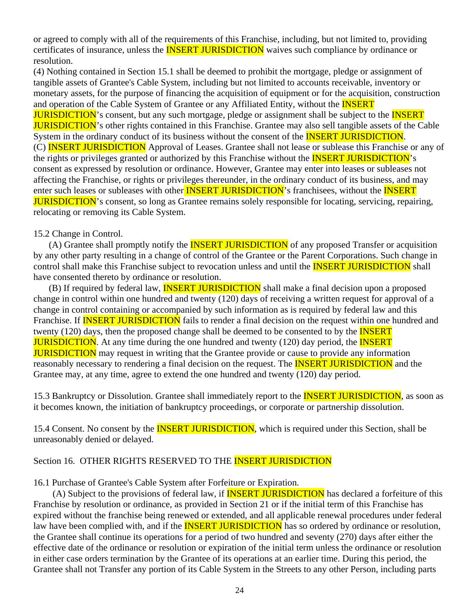or agreed to comply with all of the requirements of this Franchise, including, but not limited to, providing certificates of insurance, unless the **INSERT JURISDICTION** waives such compliance by ordinance or resolution.

(4) Nothing contained in Section 15.1 shall be deemed to prohibit the mortgage, pledge or assignment of tangible assets of Grantee's Cable System, including but not limited to accounts receivable, inventory or monetary assets, for the purpose of financing the acquisition of equipment or for the acquisition, construction and operation of the Cable System of Grantee or any Affiliated Entity, without the **INSERT JURISDICTION**'s consent, but any such mortgage, pledge or assignment shall be subject to the **INSERT JURISDICTION**'s other rights contained in this Franchise. Grantee may also sell tangible assets of the Cable System in the ordinary conduct of its business without the consent of the **INSERT JURISDICTION**. (C) INSERT JURISDICTION Approval of Leases. Grantee shall not lease or sublease this Franchise or any of the rights or privileges granted or authorized by this Franchise without the **INSERT JURISDICTION**'s consent as expressed by resolution or ordinance. However, Grantee may enter into leases or subleases not affecting the Franchise, or rights or privileges thereunder, in the ordinary conduct of its business, and may enter such leases or subleases with other **INSERT JURISDICTION**'s franchisees, without the **INSERT** JURISDICTION's consent, so long as Grantee remains solely responsible for locating, servicing, repairing, relocating or removing its Cable System.

#### 15.2 Change in Control.

(A) Grantee shall promptly notify the **INSERT JURISDICTION** of any proposed Transfer or acquisition by any other party resulting in a change of control of the Grantee or the Parent Corporations. Such change in control shall make this Franchise subject to revocation unless and until the **INSERT JURISDICTION** shall have consented thereto by ordinance or resolution.

(B) If required by federal law, **INSERT JURISDICTION** shall make a final decision upon a proposed change in control within one hundred and twenty (120) days of receiving a written request for approval of a change in control containing or accompanied by such information as is required by federal law and this Franchise. If **INSERT JURISDICTION** fails to render a final decision on the request within one hundred and twenty (120) days, then the proposed change shall be deemed to be consented to by the **INSERT JURISDICTION.** At any time during the one hundred and twenty (120) day period, the **INSERT JURISDICTION** may request in writing that the Grantee provide or cause to provide any information reasonably necessary to rendering a final decision on the request. The **INSERT JURISDICTION** and the Grantee may, at any time, agree to extend the one hundred and twenty (120) day period.

15.3 Bankruptcy or Dissolution. Grantee shall immediately report to the **INSERT JURISDICTION**, as soon as it becomes known, the initiation of bankruptcy proceedings, or corporate or partnership dissolution.

15.4 Consent. No consent by the **INSERT JURISDICTION**, which is required under this Section, shall be unreasonably denied or delayed.

#### Section 16. OTHER RIGHTS RESERVED TO THE **INSERT JURISDICTION**

16.1 Purchase of Grantee's Cable System after Forfeiture or Expiration.

(A) Subject to the provisions of federal law, if **INSERT JURISDICTION** has declared a forfeiture of this Franchise by resolution or ordinance, as provided in Section 21 or if the initial term of this Franchise has expired without the franchise being renewed or extended, and all applicable renewal procedures under federal law have been complied with, and if the **INSERT JURISDICTION** has so ordered by ordinance or resolution, the Grantee shall continue its operations for a period of two hundred and seventy (270) days after either the effective date of the ordinance or resolution or expiration of the initial term unless the ordinance or resolution in either case orders termination by the Grantee of its operations at an earlier time. During this period, the Grantee shall not Transfer any portion of its Cable System in the Streets to any other Person, including parts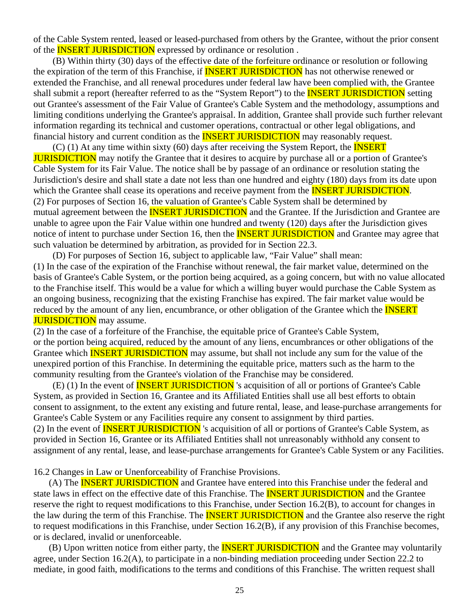of the Cable System rented, leased or leased-purchased from others by the Grantee, without the prior consent of the **INSERT JURISDICTION** expressed by ordinance or resolution.

 (B) Within thirty (30) days of the effective date of the forfeiture ordinance or resolution or following the expiration of the term of this Franchise, if **INSERT JURISDICTION** has not otherwise renewed or extended the Franchise, and all renewal procedures under federal law have been complied with, the Grantee shall submit a report (hereafter referred to as the "System Report") to the **INSERT JURISDICTION** setting out Grantee's assessment of the Fair Value of Grantee's Cable System and the methodology, assumptions and limiting conditions underlying the Grantee's appraisal. In addition, Grantee shall provide such further relevant information regarding its technical and customer operations, contractual or other legal obligations, and financial history and current condition as the **INSERT JURISDICTION** may reasonably request.

 $(C)$  (1) At any time within sixty (60) days after receiving the System Report, the **INSERT JURISDICTION** may notify the Grantee that it desires to acquire by purchase all or a portion of Grantee's Cable System for its Fair Value. The notice shall be by passage of an ordinance or resolution stating the Jurisdiction's desire and shall state a date not less than one hundred and eighty (180) days from its date upon which the Grantee shall cease its operations and receive payment from the **INSERT JURISDICTION**. (2) For purposes of Section 16, the valuation of Grantee's Cable System shall be determined by mutual agreement between the **INSERT JURISDICTION** and the Grantee. If the Jurisdiction and Grantee are unable to agree upon the Fair Value within one hundred and twenty (120) days after the Jurisdiction gives notice of intent to purchase under Section 16, then the **INSERT JURISDICTION** and Grantee may agree that such valuation be determined by arbitration, as provided for in Section 22.3.

 (D) For purposes of Section 16, subject to applicable law, "Fair Value" shall mean: (1) In the case of the expiration of the Franchise without renewal, the fair market value, determined on the basis of Grantee's Cable System, or the portion being acquired, as a going concern, but with no value allocated to the Franchise itself. This would be a value for which a willing buyer would purchase the Cable System as an ongoing business, recognizing that the existing Franchise has expired. The fair market value would be reduced by the amount of any lien, encumbrance, or other obligation of the Grantee which the **INSERT JURISDICTION** may assume.

(2) In the case of a forfeiture of the Franchise, the equitable price of Grantee's Cable System, or the portion being acquired, reduced by the amount of any liens, encumbrances or other obligations of the Grantee which **INSERT JURISDICTION** may assume, but shall not include any sum for the value of the unexpired portion of this Franchise. In determining the equitable price, matters such as the harm to the community resulting from the Grantee's violation of the Franchise may be considered.

 (E) (1) In the event of INSERT JURISDICTION 's acquisition of all or portions of Grantee's Cable System, as provided in Section 16, Grantee and its Affiliated Entities shall use all best efforts to obtain consent to assignment, to the extent any existing and future rental, lease, and lease-purchase arrangements for Grantee's Cable System or any Facilities require any consent to assignment by third parties. (2) In the event of **INSERT JURISDICTION** 's acquisition of all or portions of Grantee's Cable System, as provided in Section 16, Grantee or its Affiliated Entities shall not unreasonably withhold any consent to assignment of any rental, lease, and lease-purchase arrangements for Grantee's Cable System or any Facilities.

16.2 Changes in Law or Unenforceability of Franchise Provisions.

(A) The **INSERT JURISDICTION** and Grantee have entered into this Franchise under the federal and state laws in effect on the effective date of this Franchise. The **INSERT JURISDICTION** and the Grantee reserve the right to request modifications to this Franchise, under Section 16.2(B), to account for changes in the law during the term of this Franchise. The **INSERT JURISDICTION** and the Grantee also reserve the right to request modifications in this Franchise, under Section 16.2(B), if any provision of this Franchise becomes, or is declared, invalid or unenforceable.

(B) Upon written notice from either party, the **INSERT JURISDICTION** and the Grantee may voluntarily agree, under Section 16.2(A), to participate in a non-binding mediation proceeding under Section 22.2 to mediate, in good faith, modifications to the terms and conditions of this Franchise. The written request shall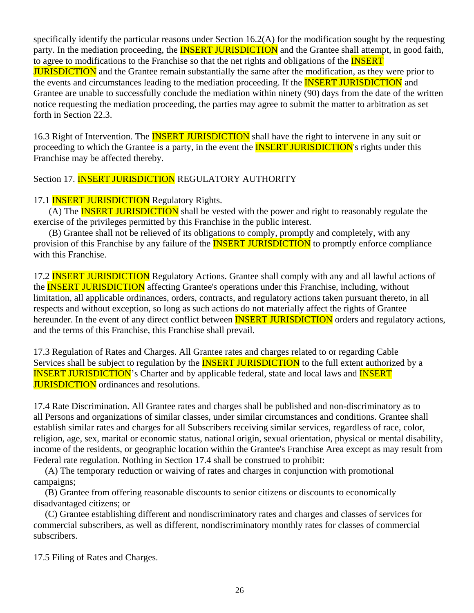specifically identify the particular reasons under Section 16.2(A) for the modification sought by the requesting party. In the mediation proceeding, the **INSERT JURISDICTION** and the Grantee shall attempt, in good faith, to agree to modifications to the Franchise so that the net rights and obligations of the **INSERT** JURISDICTION and the Grantee remain substantially the same after the modification, as they were prior to the events and circumstances leading to the mediation proceeding. If the **INSERT JURISDICTION** and Grantee are unable to successfully conclude the mediation within ninety (90) days from the date of the written notice requesting the mediation proceeding, the parties may agree to submit the matter to arbitration as set forth in Section 22.3.

16.3 Right of Intervention. The **INSERT JURISDICTION** shall have the right to intervene in any suit or proceeding to which the Grantee is a party, in the event the **INSERT JURISDICTION**'s rights under this Franchise may be affected thereby.

Section 17. **INSERT JURISDICTION** REGULATORY AUTHORITY

# 17.1 **INSERT JURISDICTION** Regulatory Rights.

(A) The **INSERT JURISDICTION** shall be vested with the power and right to reasonably regulate the exercise of the privileges permitted by this Franchise in the public interest.

 (B) Grantee shall not be relieved of its obligations to comply, promptly and completely, with any provision of this Franchise by any failure of the **INSERT JURISDICTION** to promptly enforce compliance with this Franchise.

17.2 **INSERT JURISDICTION** Regulatory Actions. Grantee shall comply with any and all lawful actions of the **INSERT JURISDICTION** affecting Grantee's operations under this Franchise, including, without limitation, all applicable ordinances, orders, contracts, and regulatory actions taken pursuant thereto, in all respects and without exception, so long as such actions do not materially affect the rights of Grantee hereunder. In the event of any direct conflict between **INSERT JURISDICTION** orders and regulatory actions, and the terms of this Franchise, this Franchise shall prevail.

17.3 Regulation of Rates and Charges. All Grantee rates and charges related to or regarding Cable Services shall be subject to regulation by the **INSERT JURISDICTION** to the full extent authorized by a **INSERT JURISDICTION's** Charter and by applicable federal, state and local laws and **INSERT JURISDICTION** ordinances and resolutions.

17.4 Rate Discrimination. All Grantee rates and charges shall be published and non-discriminatory as to all Persons and organizations of similar classes, under similar circumstances and conditions. Grantee shall establish similar rates and charges for all Subscribers receiving similar services, regardless of race, color, religion, age, sex, marital or economic status, national origin, sexual orientation, physical or mental disability, income of the residents, or geographic location within the Grantee's Franchise Area except as may result from Federal rate regulation. Nothing in Section 17.4 shall be construed to prohibit:

 (A) The temporary reduction or waiving of rates and charges in conjunction with promotional campaigns;

 (B) Grantee from offering reasonable discounts to senior citizens or discounts to economically disadvantaged citizens; or

 (C) Grantee establishing different and nondiscriminatory rates and charges and classes of services for commercial subscribers, as well as different, nondiscriminatory monthly rates for classes of commercial subscribers.

17.5 Filing of Rates and Charges.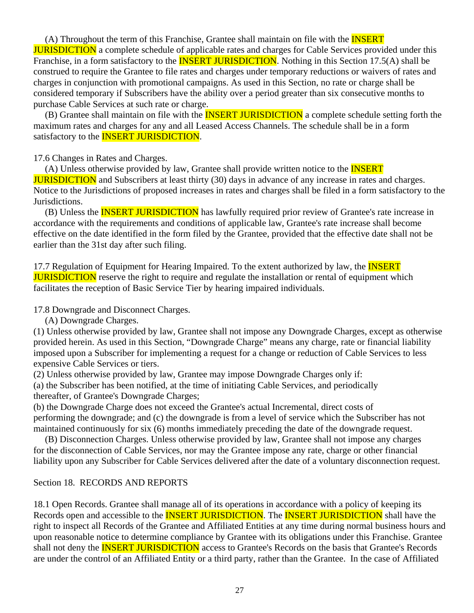(A) Throughout the term of this Franchise, Grantee shall maintain on file with the INSERT **JURISDICTION** a complete schedule of applicable rates and charges for Cable Services provided under this Franchise, in a form satisfactory to the **INSERT JURISDICTION**. Nothing in this Section 17.5(A) shall be construed to require the Grantee to file rates and charges under temporary reductions or waivers of rates and charges in conjunction with promotional campaigns. As used in this Section, no rate or charge shall be considered temporary if Subscribers have the ability over a period greater than six consecutive months to purchase Cable Services at such rate or charge.

(B) Grantee shall maintain on file with the **INSERT JURISDICTION** a complete schedule setting forth the maximum rates and charges for any and all Leased Access Channels. The schedule shall be in a form satisfactory to the **INSERT JURISDICTION**.

#### 17.6 Changes in Rates and Charges.

(A) Unless otherwise provided by law, Grantee shall provide written notice to the **INSERT JURISDICTION** and Subscribers at least thirty (30) days in advance of any increase in rates and charges. Notice to the Jurisdictions of proposed increases in rates and charges shall be filed in a form satisfactory to the Jurisdictions.

(B) Unless the **INSERT JURISDICTION** has lawfully required prior review of Grantee's rate increase in accordance with the requirements and conditions of applicable law, Grantee's rate increase shall become effective on the date identified in the form filed by the Grantee, provided that the effective date shall not be earlier than the 31st day after such filing.

17.7 Regulation of Equipment for Hearing Impaired. To the extent authorized by law, the **INSERT JURISDICTION** reserve the right to require and regulate the installation or rental of equipment which facilitates the reception of Basic Service Tier by hearing impaired individuals.

17.8 Downgrade and Disconnect Charges.

(A) Downgrade Charges.

(1) Unless otherwise provided by law, Grantee shall not impose any Downgrade Charges, except as otherwise provided herein. As used in this Section, "Downgrade Charge" means any charge, rate or financial liability imposed upon a Subscriber for implementing a request for a change or reduction of Cable Services to less expensive Cable Services or tiers.

(2) Unless otherwise provided by law, Grantee may impose Downgrade Charges only if:

(a) the Subscriber has been notified, at the time of initiating Cable Services, and periodically thereafter, of Grantee's Downgrade Charges;

(b) the Downgrade Charge does not exceed the Grantee's actual Incremental, direct costs of performing the downgrade; and (c) the downgrade is from a level of service which the Subscriber has not maintained continuously for six (6) months immediately preceding the date of the downgrade request.

 (B) Disconnection Charges. Unless otherwise provided by law, Grantee shall not impose any charges for the disconnection of Cable Services, nor may the Grantee impose any rate, charge or other financial liability upon any Subscriber for Cable Services delivered after the date of a voluntary disconnection request.

#### Section 18. RECORDS AND REPORTS

18.1 Open Records. Grantee shall manage all of its operations in accordance with a policy of keeping its Records open and accessible to the **INSERT JURISDICTION**. The **INSERT JURISDICTION** shall have the right to inspect all Records of the Grantee and Affiliated Entities at any time during normal business hours and upon reasonable notice to determine compliance by Grantee with its obligations under this Franchise. Grantee shall not deny the **INSERT JURISDICTION** access to Grantee's Records on the basis that Grantee's Records are under the control of an Affiliated Entity or a third party, rather than the Grantee. In the case of Affiliated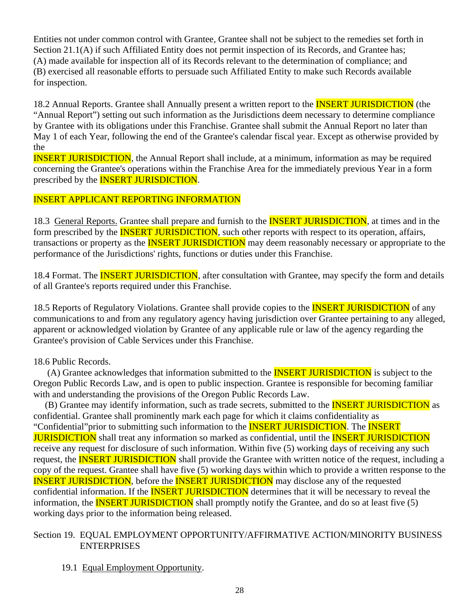Entities not under common control with Grantee, Grantee shall not be subject to the remedies set forth in Section 21.1(A) if such Affiliated Entity does not permit inspection of its Records, and Grantee has; (A) made available for inspection all of its Records relevant to the determination of compliance; and (B) exercised all reasonable efforts to persuade such Affiliated Entity to make such Records available for inspection.

18.2 Annual Reports. Grantee shall Annually present a written report to the **INSERT JURISDICTION** (the "Annual Report") setting out such information as the Jurisdictions deem necessary to determine compliance by Grantee with its obligations under this Franchise. Grantee shall submit the Annual Report no later than May 1 of each Year, following the end of the Grantee's calendar fiscal year. Except as otherwise provided by the

INSERT JURISDICTION, the Annual Report shall include, at a minimum, information as may be required concerning the Grantee's operations within the Franchise Area for the immediately previous Year in a form prescribed by the **INSERT JURISDICTION**.

### INSERT APPLICANT REPORTING INFORMATION

18.3 General Reports. Grantee shall prepare and furnish to the **INSERT JURISDICTION**, at times and in the form prescribed by the **INSERT JURISDICTION**, such other reports with respect to its operation, affairs, transactions or property as the **INSERT JURISDICTION** may deem reasonably necessary or appropriate to the performance of the Jurisdictions' rights, functions or duties under this Franchise.

18.4 Format. The **INSERT JURISDICTION**, after consultation with Grantee, may specify the form and details of all Grantee's reports required under this Franchise.

18.5 Reports of Regulatory Violations. Grantee shall provide copies to the **INSERT JURISDICTION** of any communications to and from any regulatory agency having jurisdiction over Grantee pertaining to any alleged, apparent or acknowledged violation by Grantee of any applicable rule or law of the agency regarding the Grantee's provision of Cable Services under this Franchise.

### 18.6 Public Records.

(A) Grantee acknowledges that information submitted to the **INSERT JURISDICTION** is subject to the Oregon Public Records Law, and is open to public inspection. Grantee is responsible for becoming familiar with and understanding the provisions of the Oregon Public Records Law.

(B) Grantee may identify information, such as trade secrets, submitted to the **INSERT JURISDICTION** as confidential. Grantee shall prominently mark each page for which it claims confidentiality as "Confidential"prior to submitting such information to the INSERT JURISDICTION. The INSERT **JURISDICTION** shall treat any information so marked as confidential, until the **INSERT JURISDICTION** receive any request for disclosure of such information. Within five (5) working days of receiving any such request, the **INSERT JURISDICTION** shall provide the Grantee with written notice of the request, including a copy of the request. Grantee shall have five (5) working days within which to provide a written response to the INSERT JURISDICTION, before the INSERT JURISDICTION may disclose any of the requested confidential information. If the **INSERT JURISDICTION** determines that it will be necessary to reveal the information, the **INSERT JURISDICTION** shall promptly notify the Grantee, and do so at least five (5) working days prior to the information being released.

### Section 19. EQUAL EMPLOYMENT OPPORTUNITY/AFFIRMATIVE ACTION/MINORITY BUSINESS ENTERPRISES

19.1 Equal Employment Opportunity.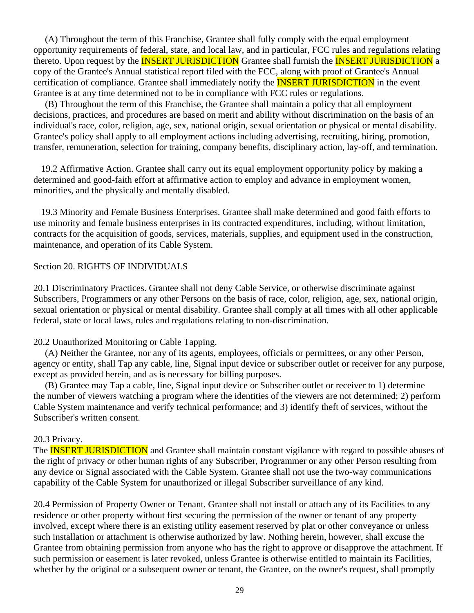(A) Throughout the term of this Franchise, Grantee shall fully comply with the equal employment opportunity requirements of federal, state, and local law, and in particular, FCC rules and regulations relating thereto. Upon request by the **INSERT JURISDICTION** Grantee shall furnish the **INSERT JURISDICTION** a copy of the Grantee's Annual statistical report filed with the FCC, along with proof of Grantee's Annual certification of compliance. Grantee shall immediately notify the **INSERT JURISDICTION** in the event Grantee is at any time determined not to be in compliance with FCC rules or regulations.

 (B) Throughout the term of this Franchise, the Grantee shall maintain a policy that all employment decisions, practices, and procedures are based on merit and ability without discrimination on the basis of an individual's race, color, religion, age, sex, national origin, sexual orientation or physical or mental disability. Grantee's policy shall apply to all employment actions including advertising, recruiting, hiring, promotion, transfer, remuneration, selection for training, company benefits, disciplinary action, lay-off, and termination.

 19.2 Affirmative Action. Grantee shall carry out its equal employment opportunity policy by making a determined and good-faith effort at affirmative action to employ and advance in employment women, minorities, and the physically and mentally disabled.

 19.3 Minority and Female Business Enterprises. Grantee shall make determined and good faith efforts to use minority and female business enterprises in its contracted expenditures, including, without limitation, contracts for the acquisition of goods, services, materials, supplies, and equipment used in the construction, maintenance, and operation of its Cable System.

#### Section 20. RIGHTS OF INDIVIDUALS

20.1 Discriminatory Practices. Grantee shall not deny Cable Service, or otherwise discriminate against Subscribers, Programmers or any other Persons on the basis of race, color, religion, age, sex, national origin, sexual orientation or physical or mental disability. Grantee shall comply at all times with all other applicable federal, state or local laws, rules and regulations relating to non-discrimination.

#### 20.2 Unauthorized Monitoring or Cable Tapping.

 (A) Neither the Grantee, nor any of its agents, employees, officials or permittees, or any other Person, agency or entity, shall Tap any cable, line, Signal input device or subscriber outlet or receiver for any purpose, except as provided herein, and as is necessary for billing purposes.

 (B) Grantee may Tap a cable, line, Signal input device or Subscriber outlet or receiver to 1) determine the number of viewers watching a program where the identities of the viewers are not determined; 2) perform Cable System maintenance and verify technical performance; and 3) identify theft of services, without the Subscriber's written consent.

#### 20.3 Privacy.

The **INSERT JURISDICTION** and Grantee shall maintain constant vigilance with regard to possible abuses of the right of privacy or other human rights of any Subscriber, Programmer or any other Person resulting from any device or Signal associated with the Cable System. Grantee shall not use the two-way communications capability of the Cable System for unauthorized or illegal Subscriber surveillance of any kind.

20.4 Permission of Property Owner or Tenant. Grantee shall not install or attach any of its Facilities to any residence or other property without first securing the permission of the owner or tenant of any property involved, except where there is an existing utility easement reserved by plat or other conveyance or unless such installation or attachment is otherwise authorized by law. Nothing herein, however, shall excuse the Grantee from obtaining permission from anyone who has the right to approve or disapprove the attachment. If such permission or easement is later revoked, unless Grantee is otherwise entitled to maintain its Facilities, whether by the original or a subsequent owner or tenant, the Grantee, on the owner's request, shall promptly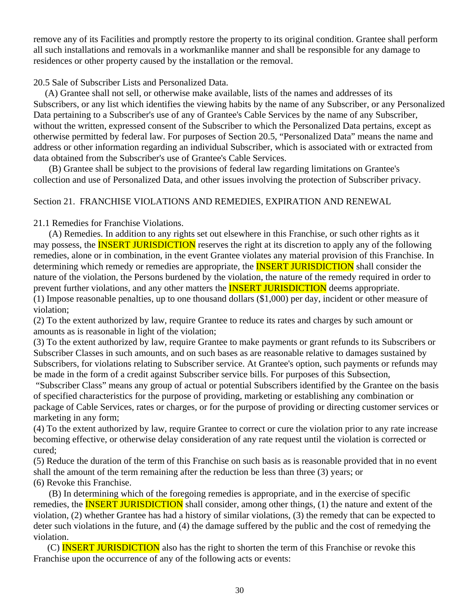remove any of its Facilities and promptly restore the property to its original condition. Grantee shall perform all such installations and removals in a workmanlike manner and shall be responsible for any damage to residences or other property caused by the installation or the removal.

### 20.5 Sale of Subscriber Lists and Personalized Data.

 (A) Grantee shall not sell, or otherwise make available, lists of the names and addresses of its Subscribers, or any list which identifies the viewing habits by the name of any Subscriber, or any Personalized Data pertaining to a Subscriber's use of any of Grantee's Cable Services by the name of any Subscriber, without the written, expressed consent of the Subscriber to which the Personalized Data pertains, except as otherwise permitted by federal law. For purposes of Section 20.5, "Personalized Data" means the name and address or other information regarding an individual Subscriber, which is associated with or extracted from data obtained from the Subscriber's use of Grantee's Cable Services.

 (B) Grantee shall be subject to the provisions of federal law regarding limitations on Grantee's collection and use of Personalized Data, and other issues involving the protection of Subscriber privacy.

### Section 21. FRANCHISE VIOLATIONS AND REMEDIES, EXPIRATION AND RENEWAL

21.1 Remedies for Franchise Violations.

 (A) Remedies. In addition to any rights set out elsewhere in this Franchise, or such other rights as it may possess, the **INSERT JURISDICTION** reserves the right at its discretion to apply any of the following remedies, alone or in combination, in the event Grantee violates any material provision of this Franchise. In determining which remedy or remedies are appropriate, the **INSERT JURISDICTION** shall consider the nature of the violation, the Persons burdened by the violation, the nature of the remedy required in order to prevent further violations, and any other matters the **INSERT JURISDICTION** deems appropriate.

(1) Impose reasonable penalties, up to one thousand dollars (\$1,000) per day, incident or other measure of violation;

(2) To the extent authorized by law, require Grantee to reduce its rates and charges by such amount or amounts as is reasonable in light of the violation;

(3) To the extent authorized by law, require Grantee to make payments or grant refunds to its Subscribers or Subscriber Classes in such amounts, and on such bases as are reasonable relative to damages sustained by Subscribers, for violations relating to Subscriber service. At Grantee's option, such payments or refunds may be made in the form of a credit against Subscriber service bills. For purposes of this Subsection,

 "Subscriber Class" means any group of actual or potential Subscribers identified by the Grantee on the basis of specified characteristics for the purpose of providing, marketing or establishing any combination or package of Cable Services, rates or charges, or for the purpose of providing or directing customer services or marketing in any form;

(4) To the extent authorized by law, require Grantee to correct or cure the violation prior to any rate increase becoming effective, or otherwise delay consideration of any rate request until the violation is corrected or cured;

(5) Reduce the duration of the term of this Franchise on such basis as is reasonable provided that in no event shall the amount of the term remaining after the reduction be less than three (3) years; or (6) Revoke this Franchise.

 (B) In determining which of the foregoing remedies is appropriate, and in the exercise of specific remedies, the **INSERT JURISDICTION** shall consider, among other things, (1) the nature and extent of the violation, (2) whether Grantee has had a history of similar violations, (3) the remedy that can be expected to deter such violations in the future, and (4) the damage suffered by the public and the cost of remedying the violation.

(C) **INSERT JURISDICTION** also has the right to shorten the term of this Franchise or revoke this Franchise upon the occurrence of any of the following acts or events: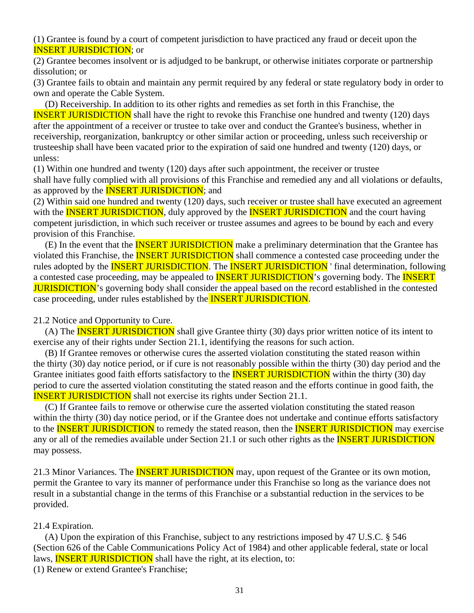(1) Grantee is found by a court of competent jurisdiction to have practiced any fraud or deceit upon the INSERT JURISDICTION; or

(2) Grantee becomes insolvent or is adjudged to be bankrupt, or otherwise initiates corporate or partnership dissolution; or

(3) Grantee fails to obtain and maintain any permit required by any federal or state regulatory body in order to own and operate the Cable System.

 (D) Receivership. In addition to its other rights and remedies as set forth in this Franchise, the **INSERT JURISDICTION** shall have the right to revoke this Franchise one hundred and twenty (120) days after the appointment of a receiver or trustee to take over and conduct the Grantee's business, whether in receivership, reorganization, bankruptcy or other similar action or proceeding, unless such receivership or trusteeship shall have been vacated prior to the expiration of said one hundred and twenty (120) days, or unless:

(1) Within one hundred and twenty (120) days after such appointment, the receiver or trustee

shall have fully complied with all provisions of this Franchise and remedied any and all violations or defaults, as approved by the **INSERT JURISDICTION**; and

(2) Within said one hundred and twenty (120) days, such receiver or trustee shall have executed an agreement with the **INSERT JURISDICTION**, duly approved by the **INSERT JURISDICTION** and the court having competent jurisdiction, in which such receiver or trustee assumes and agrees to be bound by each and every provision of this Franchise.

(E) In the event that the **INSERT JURISDICTION** make a preliminary determination that the Grantee has violated this Franchise, the **INSERT JURISDICTION** shall commence a contested case proceeding under the rules adopted by the **INSERT JURISDICTION**. The **INSERT JURISDICTION** 'final determination, following a contested case proceeding, may be appealed to **INSERT JURISDICTION**'s governing body. The **INSERT** JURISDICTION's governing body shall consider the appeal based on the record established in the contested case proceeding, under rules established by the **INSERT JURISDICTION**.

21.2 Notice and Opportunity to Cure.

(A) The **INSERT JURISDICTION** shall give Grantee thirty (30) days prior written notice of its intent to exercise any of their rights under Section 21.1, identifying the reasons for such action.

 (B) If Grantee removes or otherwise cures the asserted violation constituting the stated reason within the thirty (30) day notice period, or if cure is not reasonably possible within the thirty (30) day period and the Grantee initiates good faith efforts satisfactory to the **INSERT JURISDICTION** within the thirty (30) day period to cure the asserted violation constituting the stated reason and the efforts continue in good faith, the **INSERT JURISDICTION** shall not exercise its rights under Section 21.1.

 (C) If Grantee fails to remove or otherwise cure the asserted violation constituting the stated reason within the thirty (30) day notice period, or if the Grantee does not undertake and continue efforts satisfactory to the **INSERT JURISDICTION** to remedy the stated reason, then the **INSERT JURISDICTION** may exercise any or all of the remedies available under Section 21.1 or such other rights as the **INSERT JURISDICTION** may possess.

21.3 Minor Variances. The **INSERT JURISDICTION** may, upon request of the Grantee or its own motion, permit the Grantee to vary its manner of performance under this Franchise so long as the variance does not result in a substantial change in the terms of this Franchise or a substantial reduction in the services to be provided.

#### 21.4 Expiration.

 (A) Upon the expiration of this Franchise, subject to any restrictions imposed by 47 U.S.C. § 546 (Section 626 of the Cable Communications Policy Act of 1984) and other applicable federal, state or local laws, **INSERT JURISDICTION** shall have the right, at its election, to:

(1) Renew or extend Grantee's Franchise;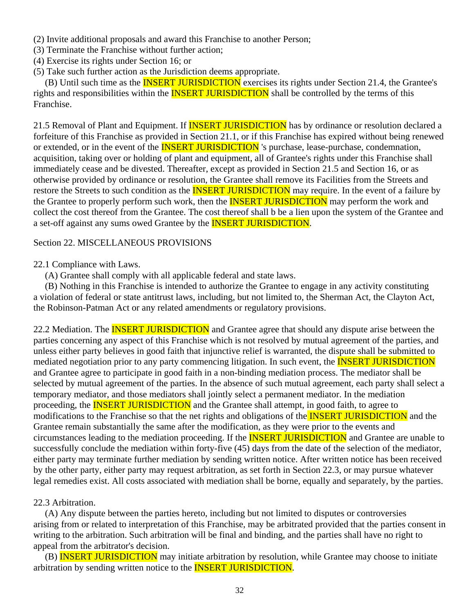- (2) Invite additional proposals and award this Franchise to another Person;
- (3) Terminate the Franchise without further action;
- (4) Exercise its rights under Section 16; or
- (5) Take such further action as the Jurisdiction deems appropriate.

(B) Until such time as the **INSERT JURISDICTION** exercises its rights under Section 21.4, the Grantee's rights and responsibilities within the **INSERT JURISDICTION** shall be controlled by the terms of this Franchise.

21.5 Removal of Plant and Equipment. If **INSERT JURISDICTION** has by ordinance or resolution declared a forfeiture of this Franchise as provided in Section 21.1, or if this Franchise has expired without being renewed or extended, or in the event of the **INSERT JURISDICTION** 's purchase, lease-purchase, condemnation, acquisition, taking over or holding of plant and equipment, all of Grantee's rights under this Franchise shall immediately cease and be divested. Thereafter, except as provided in Section 21.5 and Section 16, or as otherwise provided by ordinance or resolution, the Grantee shall remove its Facilities from the Streets and restore the Streets to such condition as the **INSERT JURISDICTION** may require. In the event of a failure by the Grantee to properly perform such work, then the **INSERT JURISDICTION** may perform the work and collect the cost thereof from the Grantee. The cost thereof shall b be a lien upon the system of the Grantee and a set-off against any sums owed Grantee by the INSERT JURISDICTION.

### Section 22. MISCELLANEOUS PROVISIONS

#### 22.1 Compliance with Laws.

(A) Grantee shall comply with all applicable federal and state laws.

 (B) Nothing in this Franchise is intended to authorize the Grantee to engage in any activity constituting a violation of federal or state antitrust laws, including, but not limited to, the Sherman Act, the Clayton Act, the Robinson-Patman Act or any related amendments or regulatory provisions.

22.2 Mediation. The **INSERT JURISDICTION** and Grantee agree that should any dispute arise between the parties concerning any aspect of this Franchise which is not resolved by mutual agreement of the parties, and unless either party believes in good faith that injunctive relief is warranted, the dispute shall be submitted to mediated negotiation prior to any party commencing litigation. In such event, the **INSERT JURISDICTION** and Grantee agree to participate in good faith in a non-binding mediation process. The mediator shall be selected by mutual agreement of the parties. In the absence of such mutual agreement, each party shall select a temporary mediator, and those mediators shall jointly select a permanent mediator. In the mediation proceeding, the **INSERT JURISDICTION** and the Grantee shall attempt, in good faith, to agree to modifications to the Franchise so that the net rights and obligations of the **INSERT JURISDICTION** and the Grantee remain substantially the same after the modification, as they were prior to the events and circumstances leading to the mediation proceeding. If the **INSERT JURISDICTION** and Grantee are unable to successfully conclude the mediation within forty-five (45) days from the date of the selection of the mediator, either party may terminate further mediation by sending written notice. After written notice has been received by the other party, either party may request arbitration, as set forth in Section 22.3, or may pursue whatever legal remedies exist. All costs associated with mediation shall be borne, equally and separately, by the parties.

### 22.3 Arbitration.

 (A) Any dispute between the parties hereto, including but not limited to disputes or controversies arising from or related to interpretation of this Franchise, may be arbitrated provided that the parties consent in writing to the arbitration. Such arbitration will be final and binding, and the parties shall have no right to appeal from the arbitrator's decision.

 (B) INSERT JURISDICTION may initiate arbitration by resolution, while Grantee may choose to initiate arbitration by sending written notice to the INSERT JURISDICTION.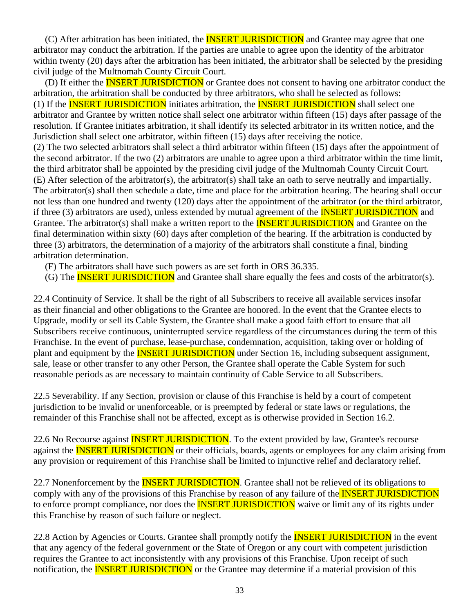(C) After arbitration has been initiated, the **INSERT JURISDICTION** and Grantee may agree that one arbitrator may conduct the arbitration. If the parties are unable to agree upon the identity of the arbitrator within twenty (20) days after the arbitration has been initiated, the arbitrator shall be selected by the presiding civil judge of the Multnomah County Circuit Court.

(D) If either the **INSERT JURISDICTION** or Grantee does not consent to having one arbitrator conduct the arbitration, the arbitration shall be conducted by three arbitrators, who shall be selected as follows: (1) If the **INSERT JURISDICTION** initiates arbitration, the **INSERT JURISDICTION** shall select one arbitrator and Grantee by written notice shall select one arbitrator within fifteen (15) days after passage of the resolution. If Grantee initiates arbitration, it shall identify its selected arbitrator in its written notice, and the Jurisdiction shall select one arbitrator, within fifteen (15) days after receiving the notice. (2) The two selected arbitrators shall select a third arbitrator within fifteen (15) days after the appointment of the second arbitrator. If the two (2) arbitrators are unable to agree upon a third arbitrator within the time limit, the third arbitrator shall be appointed by the presiding civil judge of the Multnomah County Circuit Court. (E) After selection of the arbitrator(s), the arbitrator(s) shall take an oath to serve neutrally and impartially. The arbitrator(s) shall then schedule a date, time and place for the arbitration hearing. The hearing shall occur not less than one hundred and twenty (120) days after the appointment of the arbitrator (or the third arbitrator, if three (3) arbitrators are used), unless extended by mutual agreement of the **INSERT JURISDICTION** and Grantee. The arbitrator(s) shall make a written report to the **INSERT JURISDICTION** and Grantee on the final determination within sixty (60) days after completion of the hearing. If the arbitration is conducted by three (3) arbitrators, the determination of a majority of the arbitrators shall constitute a final, binding arbitration determination.

- (F) The arbitrators shall have such powers as are set forth in ORS 36.335.
- (G) The **INSERT JURISDICTION** and Grantee shall share equally the fees and costs of the arbitrator(s).

22.4 Continuity of Service. It shall be the right of all Subscribers to receive all available services insofar as their financial and other obligations to the Grantee are honored. In the event that the Grantee elects to Upgrade, modify or sell its Cable System, the Grantee shall make a good faith effort to ensure that all Subscribers receive continuous, uninterrupted service regardless of the circumstances during the term of this Franchise. In the event of purchase, lease-purchase, condemnation, acquisition, taking over or holding of plant and equipment by the **INSERT JURISDICTION** under Section 16, including subsequent assignment, sale, lease or other transfer to any other Person, the Grantee shall operate the Cable System for such reasonable periods as are necessary to maintain continuity of Cable Service to all Subscribers.

22.5 Severability. If any Section, provision or clause of this Franchise is held by a court of competent jurisdiction to be invalid or unenforceable, or is preempted by federal or state laws or regulations, the remainder of this Franchise shall not be affected, except as is otherwise provided in Section 16.2.

22.6 No Recourse against **INSERT JURISDICTION**. To the extent provided by law, Grantee's recourse against the **INSERT JURISDICTION** or their officials, boards, agents or employees for any claim arising from any provision or requirement of this Franchise shall be limited to injunctive relief and declaratory relief.

22.7 Nonenforcement by the **INSERT JURISDICTION**. Grantee shall not be relieved of its obligations to comply with any of the provisions of this Franchise by reason of any failure of the **INSERT JURISDICTION** to enforce prompt compliance, nor does the **INSERT JURISDICTION** waive or limit any of its rights under this Franchise by reason of such failure or neglect.

22.8 Action by Agencies or Courts. Grantee shall promptly notify the **INSERT JURISDICTION** in the event that any agency of the federal government or the State of Oregon or any court with competent jurisdiction requires the Grantee to act inconsistently with any provisions of this Franchise. Upon receipt of such notification, the **INSERT JURISDICTION** or the Grantee may determine if a material provision of this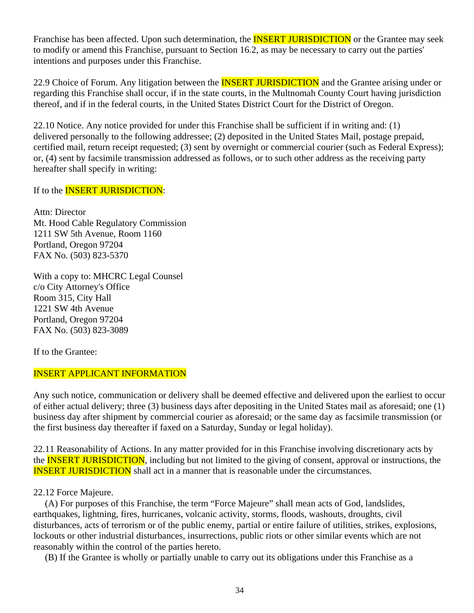Franchise has been affected. Upon such determination, the **INSERT JURISDICTION** or the Grantee may seek to modify or amend this Franchise, pursuant to Section 16.2, as may be necessary to carry out the parties' intentions and purposes under this Franchise.

22.9 Choice of Forum. Any litigation between the **INSERT JURISDICTION** and the Grantee arising under or regarding this Franchise shall occur, if in the state courts, in the Multnomah County Court having jurisdiction thereof, and if in the federal courts, in the United States District Court for the District of Oregon.

22.10 Notice. Any notice provided for under this Franchise shall be sufficient if in writing and: (1) delivered personally to the following addressee; (2) deposited in the United States Mail, postage prepaid, certified mail, return receipt requested; (3) sent by overnight or commercial courier (such as Federal Express); or, (4) sent by facsimile transmission addressed as follows, or to such other address as the receiving party hereafter shall specify in writing:

If to the **INSERT JURISDICTION**:

Attn: Director Mt. Hood Cable Regulatory Commission 1211 SW 5th Avenue, Room 1160 Portland, Oregon 97204 FAX No. (503) 823-5370

With a copy to: MHCRC Legal Counsel c/o City Attorney's Office Room 315, City Hall 1221 SW 4th Avenue Portland, Oregon 97204 FAX No. (503) 823-3089

If to the Grantee:

#### INSERT APPLICANT INFORMATION

Any such notice, communication or delivery shall be deemed effective and delivered upon the earliest to occur of either actual delivery; three (3) business days after depositing in the United States mail as aforesaid; one (1) business day after shipment by commercial courier as aforesaid; or the same day as facsimile transmission (or the first business day thereafter if faxed on a Saturday, Sunday or legal holiday).

22.11 Reasonability of Actions. In any matter provided for in this Franchise involving discretionary acts by the **INSERT JURISDICTION**, including but not limited to the giving of consent, approval or instructions, the INSERT JURISDICTION shall act in a manner that is reasonable under the circumstances.

#### 22.12 Force Majeure.

 (A) For purposes of this Franchise, the term "Force Majeure" shall mean acts of God, landslides, earthquakes, lightning, fires, hurricanes, volcanic activity, storms, floods, washouts, droughts, civil disturbances, acts of terrorism or of the public enemy, partial or entire failure of utilities, strikes, explosions, lockouts or other industrial disturbances, insurrections, public riots or other similar events which are not reasonably within the control of the parties hereto.

(B) If the Grantee is wholly or partially unable to carry out its obligations under this Franchise as a